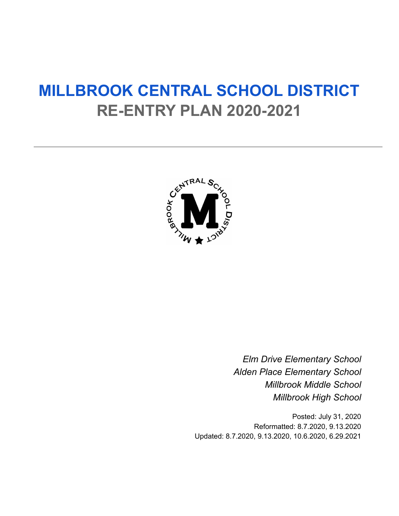# **MILLBROOK CENTRAL SCHOOL DISTRICT RE-ENTRY PLAN 2020-2021**



*Elm Drive Elementary School Alden Place Elementary School Millbrook Middle School Millbrook High School*

Posted: July 31, 2020 Reformatted: 8.7.2020, 9.13.2020 Updated: 8.7.2020, 9.13.2020, 10.6.2020, 6.29.2021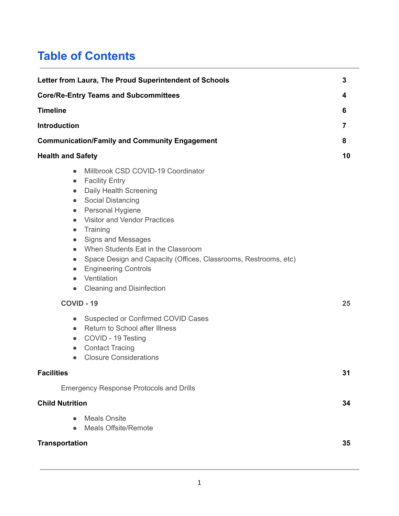# **Table of Contents**

| Letter from Laura, The Proud Superintendent of Schools                                                                                                                                                                                                                                                                                                                                                                                                                                                                                                                                    | 3  |
|-------------------------------------------------------------------------------------------------------------------------------------------------------------------------------------------------------------------------------------------------------------------------------------------------------------------------------------------------------------------------------------------------------------------------------------------------------------------------------------------------------------------------------------------------------------------------------------------|----|
| <b>Core/Re-Entry Teams and Subcommittees</b>                                                                                                                                                                                                                                                                                                                                                                                                                                                                                                                                              | 4  |
| <b>Timeline</b>                                                                                                                                                                                                                                                                                                                                                                                                                                                                                                                                                                           | 6  |
| <b>Introduction</b>                                                                                                                                                                                                                                                                                                                                                                                                                                                                                                                                                                       | 7  |
| <b>Communication/Family and Community Engagement</b>                                                                                                                                                                                                                                                                                                                                                                                                                                                                                                                                      | 8  |
| <b>Health and Safety</b>                                                                                                                                                                                                                                                                                                                                                                                                                                                                                                                                                                  | 10 |
| Millbrook CSD COVID-19 Coordinator<br>$\bullet$<br><b>Facility Entry</b><br>$\bullet$<br>Daily Health Screening<br>$\bullet$<br><b>Social Distancing</b><br>$\bullet$<br>Personal Hygiene<br>$\bullet$<br><b>Visitor and Vendor Practices</b><br>$\bullet$<br>Training<br>$\bullet$<br><b>Signs and Messages</b><br>$\bullet$<br>When Students Eat in the Classroom<br>$\bullet$<br>Space Design and Capacity (Offices, Classrooms, Restrooms, etc)<br>$\bullet$<br><b>Engineering Controls</b><br>$\bullet$<br>Ventilation<br>$\bullet$<br><b>Cleaning and Disinfection</b><br>$\bullet$ |    |
| COVID - 19                                                                                                                                                                                                                                                                                                                                                                                                                                                                                                                                                                                | 25 |
| Suspected or Confirmed COVID Cases<br>$\bullet$<br>Return to School after Illness<br>$\bullet$<br>COVID - 19 Testing<br>$\bullet$<br><b>Contact Tracing</b><br>$\bullet$<br><b>Closure Considerations</b><br>$\bullet$                                                                                                                                                                                                                                                                                                                                                                    |    |
| <b>Facilities</b>                                                                                                                                                                                                                                                                                                                                                                                                                                                                                                                                                                         | 31 |
| <b>Emergency Response Protocols and Drills</b>                                                                                                                                                                                                                                                                                                                                                                                                                                                                                                                                            |    |
| <b>Child Nutrition</b>                                                                                                                                                                                                                                                                                                                                                                                                                                                                                                                                                                    | 34 |
| <b>Meals Onsite</b><br><b>Meals Offsite/Remote</b>                                                                                                                                                                                                                                                                                                                                                                                                                                                                                                                                        |    |
| <b>Transportation</b>                                                                                                                                                                                                                                                                                                                                                                                                                                                                                                                                                                     | 35 |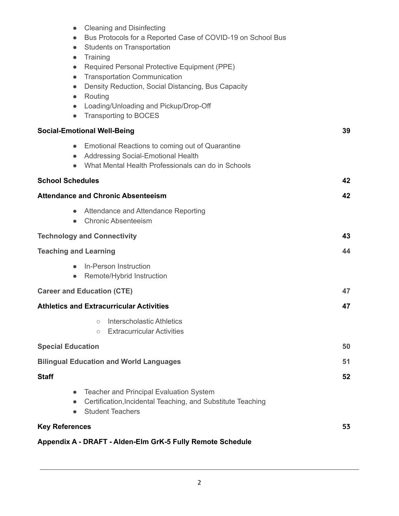| <b>Cleaning and Disinfecting</b><br>$\bullet$<br>Bus Protocols for a Reported Case of COVID-19 on School Bus<br>$\bullet$ |    |
|---------------------------------------------------------------------------------------------------------------------------|----|
| Students on Transportation<br>$\bullet$                                                                                   |    |
| Training<br>$\bullet$                                                                                                     |    |
| Required Personal Protective Equipment (PPE)<br>$\bullet$<br><b>Transportation Communication</b><br>$\bullet$             |    |
| Density Reduction, Social Distancing, Bus Capacity<br>$\bullet$                                                           |    |
| Routing<br>$\bullet$                                                                                                      |    |
| Loading/Unloading and Pickup/Drop-Off<br>$\bullet$<br><b>Transporting to BOCES</b><br>$\bullet$                           |    |
|                                                                                                                           |    |
| <b>Social-Emotional Well-Being</b>                                                                                        | 39 |
| Emotional Reactions to coming out of Quarantine<br>$\bullet$<br>Addressing Social-Emotional Health<br>$\bullet$           |    |
| What Mental Health Professionals can do in Schools<br>$\bullet$                                                           |    |
| <b>School Schedules</b>                                                                                                   | 42 |
| <b>Attendance and Chronic Absenteeism</b>                                                                                 | 42 |
| Attendance and Attendance Reporting<br>$\bullet$<br><b>Chronic Absenteeism</b><br>$\bullet$                               |    |
| <b>Technology and Connectivity</b>                                                                                        | 43 |
|                                                                                                                           | 44 |
| <b>Teaching and Learning</b>                                                                                              |    |
| In-Person Instruction<br>$\bullet$<br>Remote/Hybrid Instruction<br>$\bullet$                                              |    |
|                                                                                                                           |    |
| <b>Career and Education (CTE)</b>                                                                                         | 47 |
| <b>Athletics and Extracurricular Activities</b>                                                                           | 47 |
| Interscholastic Athletics<br>$\circ$<br><b>Extracurricular Activities</b>                                                 |    |
| $\circ$                                                                                                                   |    |
| <b>Special Education</b>                                                                                                  | 50 |
| <b>Bilingual Education and World Languages</b>                                                                            | 51 |
| <b>Staff</b>                                                                                                              | 52 |
| <b>Teacher and Principal Evaluation System</b>                                                                            |    |
| Certification, Incidental Teaching, and Substitute Teaching<br>$\bullet$<br><b>Student Teachers</b>                       |    |
| <b>Key References</b>                                                                                                     | 53 |
| Appendix A - DRAFT - Alden-Elm GrK-5 Fully Remote Schedule                                                                |    |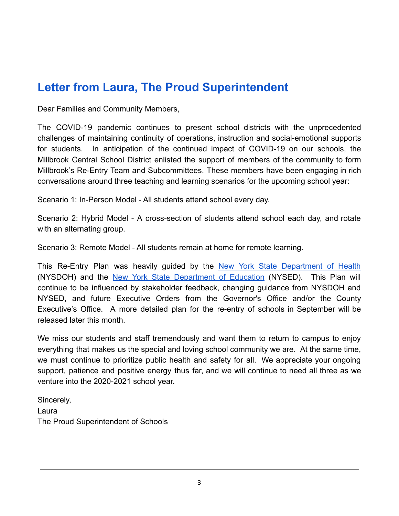# **Letter from Laura, The Proud Superintendent**

Dear Families and Community Members,

The COVID-19 pandemic continues to present school districts with the unprecedented challenges of maintaining continuity of operations, instruction and social-emotional supports for students. In anticipation of the continued impact of COVID-19 on our schools, the Millbrook Central School District enlisted the support of members of the community to form Millbrook's Re-Entry Team and Subcommittees. These members have been engaging in rich conversations around three teaching and learning scenarios for the upcoming school year:

Scenario 1: In-Person Model - All students attend school every day.

Scenario 2: Hybrid Model - A cross-section of students attend school each day, and rotate with an alternating group.

Scenario 3: Remote Model - All students remain at home for remote learning.

This Re-Entry Plan was heavily guided by the New York State [Department](https://www.governor.ny.gov/sites/governor.ny.gov/files/atoms/files/Pre-K_to_Grade_12_Schools_MasterGuidence.pdf) of Health (NYSDOH) and the New York State [Department](http://www.nysed.gov/common/nysed/files/programs/reopening-schools/nys-p12-school-reopening-guidance.pdf) of Education (NYSED). This Plan will continue to be influenced by stakeholder feedback, changing guidance from NYSDOH and NYSED, and future Executive Orders from the Governor's Office and/or the County Executive's Office. A more detailed plan for the re-entry of schools in September will be released later this month.

We miss our students and staff tremendously and want them to return to campus to enjoy everything that makes us the special and loving school community we are. At the same time, we must continue to prioritize public health and safety for all. We appreciate your ongoing support, patience and positive energy thus far, and we will continue to need all three as we venture into the 2020-2021 school year.

Sincerely, Laura The Proud Superintendent of Schools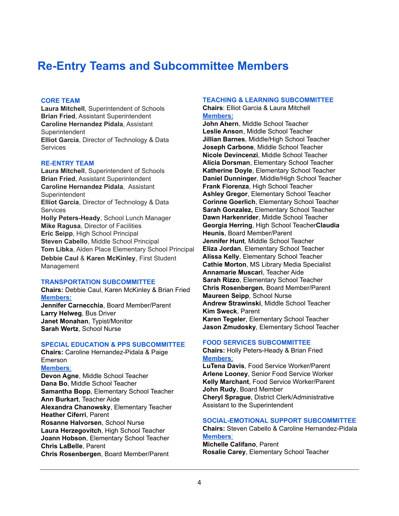# **Re-Entry Teams and Subcommittee Members**

#### **CORE TEAM**

**Laura Mitchell**, Superintendent of Schools **Brian Fried**, Assistant Superintendent **Caroline Hernandez Pidala**, Assistant **Superintendent Elliot Garcia**, Director of Technology & Data **Services** 

#### **RE-ENTRY TEAM**

**Laura Mitchell**, Superintendent of Schools **Brian Fried**, Assistant Superintendent **Caroline Hernandez Pidala**, Assistant **Superintendent Elliot Garcia**, Director of Technology & Data **Services Holly Peters-Heady**, School Lunch Manager **Mike Ragusa**, Director of Facilities **Eric Seipp**, High School Principal **Steven Cabello**, Middle School Principal **Tom Libka**, Alden Place Elementary School Principal **Debbie Caul** & **Karen McKinley**, First Student Management

#### **TRANSPORTATION SUBCOMMITTEE**

**Chairs:** Debbie Caul, Karen McKinley & Brian Fried **Members: Jennifer Carnecchia**, Board Member/Parent **Larry Helweg**, Bus Driver **Janet Monahan**, Typist/Monitor **Sarah Wertz**, School Nurse

#### **SPECIAL EDUCATION & PPS SUBCOMMITTEE**

**Chairs:** Caroline Hernandez-Pidala & Paige Emerson

**Members**:

**Devon Agne**, Middle School Teacher **Dana Bo**, Middle School Teacher **Samantha Bopp**, Elementary School Teacher **Ann Burkart**, Teacher Aide **Alexandra Chanowsky**, Elementary Teacher **Heather Ciferri**, Parent **Rosanne Halvorsen**, School Nurse **Laura Herzegovitch**, High School Teacher **Joann Hobson**, Elementary School Teacher **Chris LaBelle**, Parent **Chris Rosenbergen**, Board Member/Parent

#### **TEACHING & LEARNING SUBCOMMITTEE**

**Chairs**: Elliot Garcia & Laura Mitchell **Members:**

**John Ahern**, Middle School Teacher **Leslie Anson**, Middle School Teacher **Jillian Barnes**, Middle/High School Teacher **Joseph Carbone**, Middle School Teacher **Nicole Devincenzi**, Middle School Teacher **Alicia Dorsman**, Elementary School Teacher **Katherine Doyle**, Elementary School Teacher **Daniel Dunninger**, Middle/High School Teacher **Frank Fiorenza**, High School Teacher **Ashley Gregor**, Elementary School Teacher **Corinne Goerlich**, Elementary School Teacher **Sarah Gonzalez,** Elementary School Teacher **Dawn Harkenrider**, Middle School Teacher **Georgia Herring**, High School Teacher**Claudia Heunis**, Board Member/Parent **Jennifer Hunt**, Middle School Teacher **Eliza Jordan**, Elementary School Teacher **Alissa Kelly**, Elementary School Teacher **Cathie Morton**, MS Library Media Specialist **Annamarie Muscari**, Teacher Aide **Sarah Rizzo**, Elementary School Teacher **Chris Rosenbergen**, Board Member/Parent **Maureen Seipp**, School Nurse **Andrew Strawinski**, Middle School Teacher **Kim Sweck**, Parent **Karen Tegeler**, Elementary School Teacher **Jason Zmudosky**, Elementary School Teacher

#### **FOOD SERVICES SUBCOMMITTEE**

**Chairs:** Holly Peters-Heady & Brian Fried **Members**:

**LuTena Davis**, Food Service Worker/Parent **Arlene Looney**, Senior Food Service Worker **Kelly Marchant**, Food Service Worker/Parent **John Rudy**, Board Member **Cheryl Sprague**, District Clerk/Administrative Assistant to the Superintendent

#### **SOCIAL-EMOTIONAL SUPPORT SUBCOMMITTEE**

**Chairs:** Steven Cabello & Caroline Hernandez-Pidala **Members**: **Michelle Califano**, Parent **Rosalie Carey**, Elementary School Teacher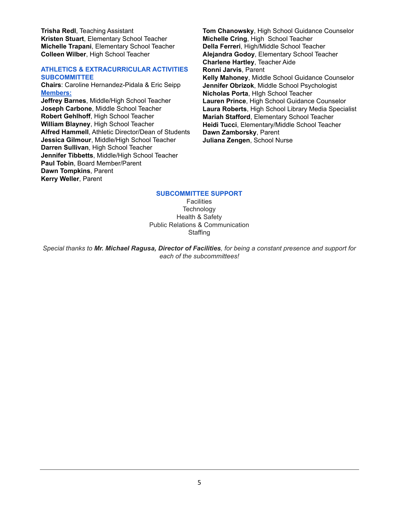**Trisha Redl**, Teaching Assistant **Kristen Stuart**, Elementary School Teacher **Michelle Trapani**, Elementary School Teacher **Colleen Wilber**, High School Teacher

#### **ATHLETICS & EXTRACURRICULAR ACTIVITIES SUBCOMMITTEE**

**Chairs**: Caroline Hernandez-Pidala & Eric Seipp **Members:**

**Jeffrey Barnes**, Middle/High School Teacher **Joseph Carbone**, Middle School Teacher **Robert Gehlhoff**, High School Teacher **William Blayney**, High School Teacher **Alfred Hammell**, Athletic Director/Dean of Students **Jessica Gilmour**, Middle/High School Teacher **Darren Sullivan**, High School Teacher **Jennifer Tibbetts**, Middle/High School Teacher **Paul Tobin**, Board Member/Parent **Dawn Tompkins**, Parent **Kerry Weller**, Parent

**Tom Chanowsky**, High School Guidance Counselor **Michelle Cring**, High School Teacher **Della Ferreri**, High/Middle School Teacher **Alejandra Godoy**, Elementary School Teacher **Charlene Hartley**, Teacher Aide **Ronni Jarvis**, Parent **Kelly Mahoney**, Middle School Guidance Counselor **Jennifer Obrizok**, Middle School Psychologist **Nicholas Porta**, HIgh School Teacher **Lauren Prince**, High School Guidance Counselor **Laura Roberts**, High School Library Media Specialist **Mariah Stafford**, Elementary School Teacher **Heidi Tucci**, Elementary/Middle School Teacher **Dawn Zamborsky**, Parent **Juliana Zengen**, School Nurse

#### **SUBCOMMITTEE SUPPORT**

**Facilities Technology** Health & Safety Public Relations & Communication **Staffing** 

Special thanks to Mr. Michael Ragusa, Director of Facilities, for being a constant presence and support for *each of the subcommittees!*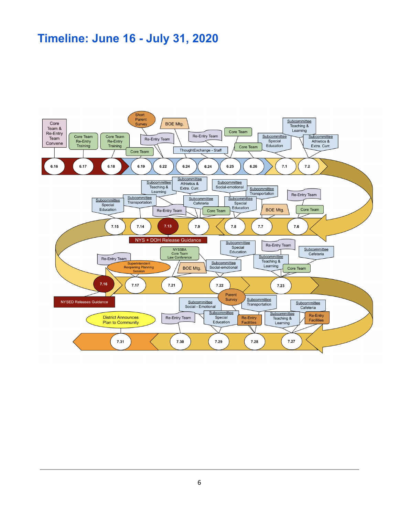# **Timeline: June 16 - July 31, 2020**

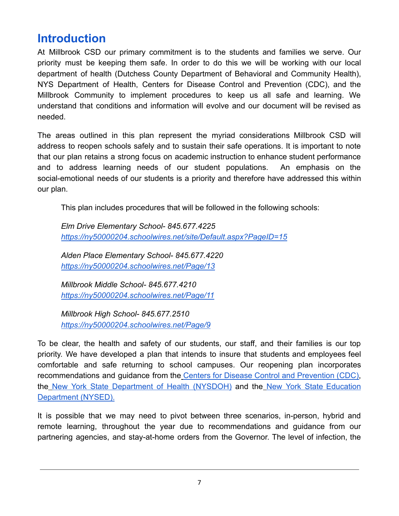# **Introduction**

At Millbrook CSD our primary commitment is to the students and families we serve. Our priority must be keeping them safe. In order to do this we will be working with our local department of health (Dutchess County Department of Behavioral and Community Health), NYS Department of Health, Centers for Disease Control and Prevention (CDC), and the Millbrook Community to implement procedures to keep us all safe and learning. We understand that conditions and information will evolve and our document will be revised as needed.

The areas outlined in this plan represent the myriad considerations Millbrook CSD will address to reopen schools safely and to sustain their safe operations. It is important to note that our plan retains a strong focus on academic instruction to enhance student performance and to address learning needs of our student populations. An emphasis on the social-emotional needs of our students is a priority and therefore have addressed this within our plan.

This plan includes procedures that will be followed in the following schools:

*Elm Drive Elementary School- 845.677.422[5](https://ny50000204.schoolwires.net/site/Default.aspx?PageID=15) <https://ny50000204.schoolwires.net/site/Default.aspx?PageID=15>*

*Alden Place Elementary School- 845.677.4220 <https://ny50000204.schoolwires.net/Page/13>*

*Millbrook Middle School- 845.677.4210 <https://ny50000204.schoolwires.net/Page/11>*

*Millbrook High School- 845.677.2510 <https://ny50000204.schoolwires.net/Page/9>*

To be clear, the health and safety of our students, our staff, and their families is our top priority. We have developed a plan that intends to insure that students and employees feel comfortable and safe returning to school campuses. Our reopening plan incorporates recommendations and guidance from the Centers for Disease Control and [Prevention](https://www.cdc.gov/coronavirus/2019-ncov/community/schools-childcare/index.html) (CDC), the New York State [Department](https://www.governor.ny.gov/sites/governor.ny.gov/files/atoms/files/Pre-K_to_Grade_12_Schools_MasterGuidence.pdf) of Health (NYSDOH) and the New York State [Education](http://www.nysed.gov/news/2020/state-education-department-issues-guidance-reopen-new-york-state-schools) [Department \(NYSED\).](http://www.nysed.gov/news/2020/state-education-department-issues-guidance-reopen-new-york-state-schools)

It is possible that we may need to pivot between three scenarios, in-person, hybrid and remote learning, throughout the year due to recommendations and guidance from our partnering agencies, and stay-at-home orders from the Governor. The level of infection, the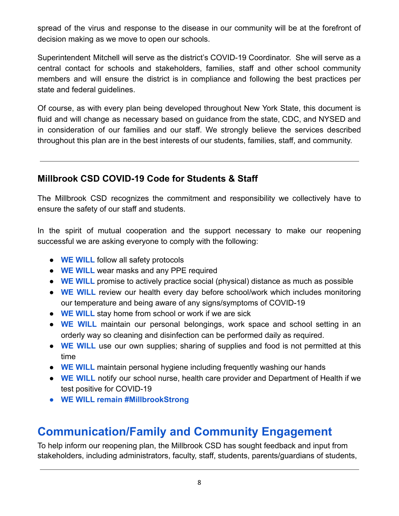spread of the virus and response to the disease in our community will be at the forefront of decision making as we move to open our schools.

Superintendent Mitchell will serve as the district's COVID-19 Coordinator. She will serve as a central contact for schools and stakeholders, families, staff and other school community members and will ensure the district is in compliance and following the best practices per state and federal guidelines.

Of course, as with every plan being developed throughout New York State, this document is fluid and will change as necessary based on guidance from the state, CDC, and NYSED and in consideration of our families and our staff. We strongly believe the services described throughout this plan are in the best interests of our students, families, staff, and community.

## **Millbrook CSD COVID-19 Code for Students & Staff**

The Millbrook CSD recognizes the commitment and responsibility we collectively have to ensure the safety of our staff and students.

In the spirit of mutual cooperation and the support necessary to make our reopening successful we are asking everyone to comply with the following:

- **WE WILL** follow all safety protocols
- **WE WILL** wear masks and any PPE required
- **WE WILL** promise to actively practice social (physical) distance as much as possible
- **WE WILL** review our health every day before school/work which includes monitoring our temperature and being aware of any signs/symptoms of COVID-19
- **WE WILL** stay home from school or work if we are sick
- **WE WILL** maintain our personal belongings, work space and school setting in an orderly way so cleaning and disinfection can be performed daily as required.
- **WE WILL** use our own supplies; sharing of supplies and food is not permitted at this time
- **WE WILL** maintain personal hygiene including frequently washing our hands
- **WE WILL** notify our school nurse, health care provider and Department of Health if we test positive for COVID-19
- **● WE WILL remain #MillbrookStrong**

# **Communication/Family and Community Engagement**

To help inform our reopening plan, the Millbrook CSD has sought feedback and input from stakeholders, including administrators, faculty, staff, students, parents/guardians of students,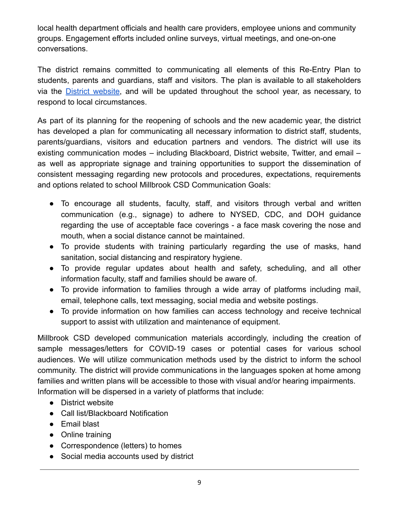local health department officials and health care providers, employee unions and community groups. Engagement efforts included online surveys, virtual meetings, and one-on-one conversations.

The district remains committed to communicating all elements of this Re-Entry Plan to students, parents and guardians, staff and visitors. The plan is available to all stakeholders via the District [website,](https://sites.google.com/millbrookcsd.org/covidreentry/home) and will be updated throughout the school year, as necessary, to respond to local circumstances.

As part of its planning for the reopening of schools and the new academic year, the district has developed a plan for communicating all necessary information to district staff, students, parents/guardians, visitors and education partners and vendors. The district will use its existing communication modes – including Blackboard, District website, Twitter, and email – as well as appropriate signage and training opportunities to support the dissemination of consistent messaging regarding new protocols and procedures, expectations, requirements and options related to school Millbrook CSD Communication Goals:

- To encourage all students, faculty, staff, and visitors through verbal and written communication (e.g., signage) to adhere to NYSED, CDC, and DOH guidance regarding the use of acceptable face coverings - a face mask covering the nose and mouth, when a social distance cannot be maintained.
- To provide students with training particularly regarding the use of masks, hand sanitation, social distancing and respiratory hygiene.
- To provide regular updates about health and safety, scheduling, and all other information faculty, staff and families should be aware of.
- To provide information to families through a wide array of platforms including mail, email, telephone calls, text messaging, social media and website postings.
- To provide information on how families can access technology and receive technical support to assist with utilization and maintenance of equipment.

Millbrook CSD developed communication materials accordingly, including the creation of sample messages/letters for COVID-19 cases or potential cases for various school audiences. We will utilize communication methods used by the district to inform the school community. The district will provide communications in the languages spoken at home among families and written plans will be accessible to those with visual and/or hearing impairments. Information will be dispersed in a variety of platforms that include:

- District website
- Call list/Blackboard Notification
- Email blast
- Online training
- Correspondence (letters) to homes
- Social media accounts used by district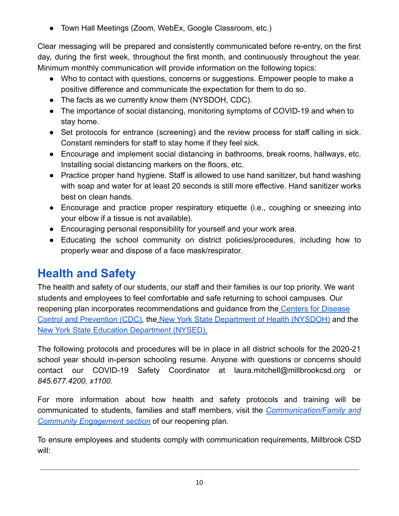● Town Hall Meetings (Zoom, WebEx, Google Classroom, etc.)

Clear messaging will be prepared and consistently communicated before re-entry, on the first day, during the first week, throughout the first month, and continuously throughout the year. Minimum monthly communication will provide information on the following topics:

- Who to contact with questions, concerns or suggestions. Empower people to make a positive difference and communicate the expectation for them to do so.
- The facts as we currently know them (NYSDOH, CDC).
- The importance of social distancing, monitoring symptoms of COVID-19 and when to stay home.
- Set protocols for entrance (screening) and the review process for staff calling in sick. Constant reminders for staff to stay home if they feel sick.
- Encourage and implement social distancing in bathrooms, break rooms, hallways, etc. Installing social distancing markers on the floors, etc.
- Practice proper hand hygiene. Staff is allowed to use hand sanitizer, but hand washing with soap and water for at least 20 seconds is still more effective. Hand sanitizer works best on clean hands.
- Encourage and practice proper respiratory etiquette (i.e., coughing or sneezing into your elbow if a tissue is not available).
- Encouraging personal responsibility for yourself and your work area.
- Educating the school community on district policies/procedures, including how to properly wear and dispose of a face mask/respirator.

# **Health and Safety**

The health and safety of our students, our staff and their families is our top priority. We want students and employees to feel comfortable and safe returning to school campuses. Our reopening plan incorporates recommendations and guidance from the [Centers for Disease](https://www.cdc.gov/coronavirus/2019-ncov/community/schools-childcare/index.html) [Control and Prevention \(CDC\),](https://www.cdc.gov/coronavirus/2019-ncov/community/schools-childcare/index.html) the [New York State Department](https://www.governor.ny.gov/sites/governor.ny.gov/files/atoms/files/Pre-K_to_Grade_12_Schools_MasterGuidence.pdf) of Health (NYSDOH) and th[e](http://www.nysed.gov/news/2020/state-education-department-issues-guidance-reopen-new-york-state-schools) [New York State Education Department \(NYSED\).](http://www.nysed.gov/news/2020/state-education-department-issues-guidance-reopen-new-york-state-schools)

The following protocols and procedures will be in place in all district schools for the 2020-21 school year should in-person schooling resume. Anyone with questions or concerns should contact our COVID-19 Safety Coordinator at laura.mitchell@millbrookcsd.org or *845.677.4200, x1100.*

For more information about how health and safety protocols and training will be communicated to students, families and staff members, visit the *[Communication/Family](https://sites.google.com/millbrookcsd.org/covidreentry/home) and [Community Engagement section](https://sites.google.com/millbrookcsd.org/covidreentry/home)* of our reopening plan.

To ensure employees and students comply with communication requirements, Millbrook CSD will: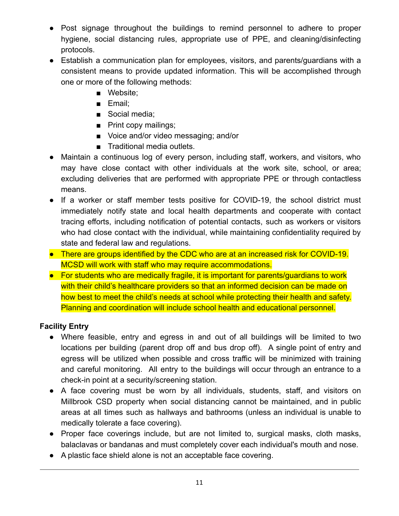- Post signage throughout the buildings to remind personnel to adhere to proper hygiene, social distancing rules, appropriate use of PPE, and cleaning/disinfecting protocols.
- Establish a communication plan for employees, visitors, and parents/guardians with a consistent means to provide updated information. This will be accomplished through one or more of the following methods:
	- Website;
	- Email;
	- Social media;
	- Print copy mailings;
	- Voice and/or video messaging; and/or
	- Traditional media outlets.
- Maintain a continuous log of every person, including staff, workers, and visitors, who may have close contact with other individuals at the work site, school, or area; excluding deliveries that are performed with appropriate PPE or through contactless means.
- If a worker or staff member tests positive for COVID-19, the school district must immediately notify state and local health departments and cooperate with contact tracing efforts, including notification of potential contacts, such as workers or visitors who had close contact with the individual, while maintaining confidentiality required by state and federal law and regulations.
- There are groups identified by the CDC who are at an increased risk for COVID-19. MCSD will work with staff who may require accommodations.
- For students who are medically fragile, it is important for parents/guardians to work with their child's healthcare providers so that an informed decision can be made on how best to meet the child's needs at school while protecting their health and safety. Planning and coordination will include school health and educational personnel.

## **Facility Entry**

- Where feasible, entry and egress in and out of all buildings will be limited to two locations per building (parent drop off and bus drop off). A single point of entry and egress will be utilized when possible and cross traffic will be minimized with training and careful monitoring. All entry to the buildings will occur through an entrance to a check-in point at a security/screening station.
- A face covering must be worn by all individuals, students, staff, and visitors on Millbrook CSD property when social distancing cannot be maintained, and in public areas at all times such as hallways and bathrooms (unless an individual is unable to medically tolerate a face covering).
- Proper face coverings include, but are not limited to, surgical masks, cloth masks, balaclavas or bandanas and must completely cover each individual's mouth and nose.
- A plastic face shield alone is not an acceptable face covering.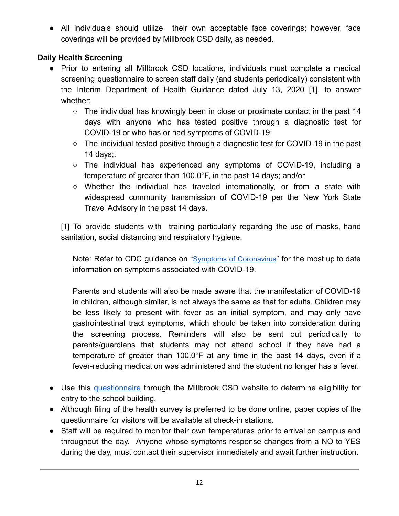● All individuals should utilize their own acceptable face coverings; however, face coverings will be provided by Millbrook CSD daily, as needed.

## **Daily Health Screening**

- Prior to entering all Millbrook CSD locations, individuals must complete a medical screening questionnaire to screen staff daily (and students periodically) consistent with the Interim Department of Health Guidance dated July 13, 2020 [1], to answer whether:
	- $\circ$  The individual has knowingly been in close or proximate contact in the past 14 days with anyone who has tested positive through a diagnostic test for COVID-19 or who has or had symptoms of COVID-19;
	- The individual tested positive through a diagnostic test for COVID-19 in the past 14 days;.
	- The individual has experienced any symptoms of COVID-19, including a temperature of greater than 100.0°F, in the past 14 days; and/or
	- Whether the individual has traveled internationally, or from a state with widespread community transmission of COVID-19 per the New York State Travel Advisory in the past 14 days.

[1] To provide students with training particularly regarding the use of masks, hand sanitation, social distancing and respiratory hygiene.

Note: Refer to CDC quidance on "Symptoms of [Coronavirus](https://www.cdc.gov/coronavirus/2019-ncov/symptoms-testing/symptoms.html)" for the most up to date information on symptoms associated with COVID-19.

Parents and students will also be made aware that the manifestation of COVID-19 in children, although similar, is not always the same as that for adults. Children may be less likely to present with fever as an initial symptom, and may only have gastrointestinal tract symptoms, which should be taken into consideration during the screening process. Reminders will also be sent out periodically to parents/guardians that students may not attend school if they have had a temperature of greater than 100.0°F at any time in the past 14 days, even if a fever-reducing medication was administered and the student no longer has a fever.

- Use this [questionnaire](https://forms.gle/Cow8UyS2PPMEfunP7) through the Millbrook CSD website to determine eligibility for entry to the school building.
- Although filing of the health survey is preferred to be done online, paper copies of the questionnaire for visitors will be available at check-in stations.
- Staff will be required to monitor their own temperatures prior to arrival on campus and throughout the day. Anyone whose symptoms response changes from a NO to YES during the day, must contact their supervisor immediately and await further instruction.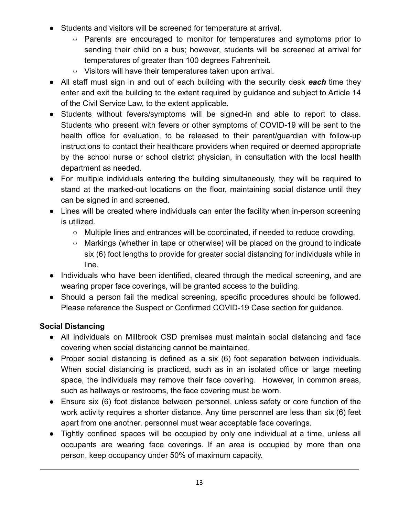- Students and visitors will be screened for temperature at arrival.
	- Parents are encouraged to monitor for temperatures and symptoms prior to sending their child on a bus; however, students will be screened at arrival for temperatures of greater than 100 degrees Fahrenheit.
	- Visitors will have their temperatures taken upon arrival.
- All staff must sign in and out of each building with the security desk *each* time they enter and exit the building to the extent required by guidance and subject to Article 14 of the Civil Service Law, to the extent applicable.
- Students without fevers/symptoms will be signed-in and able to report to class. Students who present with fevers or other symptoms of COVID-19 will be sent to the health office for evaluation, to be released to their parent/guardian with follow-up instructions to contact their healthcare providers when required or deemed appropriate by the school nurse or school district physician, in consultation with the local health department as needed.
- For multiple individuals entering the building simultaneously, they will be required to stand at the marked-out locations on the floor, maintaining social distance until they can be signed in and screened.
- Lines will be created where individuals can enter the facility when in-person screening is utilized.
	- Multiple lines and entrances will be coordinated, if needed to reduce crowding.
	- Markings (whether in tape or otherwise) will be placed on the ground to indicate six (6) foot lengths to provide for greater social distancing for individuals while in line.
- Individuals who have been identified, cleared through the medical screening, and are wearing proper face coverings, will be granted access to the building.
- Should a person fail the medical screening, specific procedures should be followed. Please reference the Suspect or Confirmed COVID-19 Case section for guidance.

#### **Social Distancing**

- All individuals on Millbrook CSD premises must maintain social distancing and face covering when social distancing cannot be maintained.
- Proper social distancing is defined as a six (6) foot separation between individuals. When social distancing is practiced, such as in an isolated office or large meeting space, the individuals may remove their face covering. However, in common areas, such as hallways or restrooms, the face covering must be worn.
- Ensure six (6) foot distance between personnel, unless safety or core function of the work activity requires a shorter distance. Any time personnel are less than six (6) feet apart from one another, personnel must wear acceptable face coverings.
- Tightly confined spaces will be occupied by only one individual at a time, unless all occupants are wearing face coverings. If an area is occupied by more than one person, keep occupancy under 50% of maximum capacity.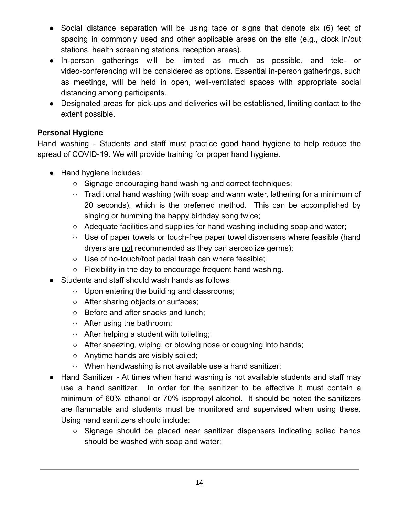- Social distance separation will be using tape or signs that denote six (6) feet of spacing in commonly used and other applicable areas on the site (e.g., clock in/out stations, health screening stations, reception areas).
- In-person gatherings will be limited as much as possible, and tele- or video-conferencing will be considered as options. Essential in-person gatherings, such as meetings, will be held in open, well-ventilated spaces with appropriate social distancing among participants.
- Designated areas for pick-ups and deliveries will be established, limiting contact to the extent possible.

#### **Personal Hygiene**

Hand washing - Students and staff must practice good hand hygiene to help reduce the spread of COVID-19. We will provide training for proper hand hygiene.

- Hand hygiene includes:
	- Signage encouraging hand washing and correct techniques:
	- Traditional hand washing (with soap and warm water, lathering for a minimum of 20 seconds), which is the preferred method. This can be accomplished by singing or humming the happy birthday song twice;
	- $\circ$  Adequate facilities and supplies for hand washing including soap and water;
	- Use of paper towels or touch-free paper towel dispensers where feasible (hand dryers are not recommended as they can aerosolize germs);
	- Use of no-touch/foot pedal trash can where feasible;
	- Flexibility in the day to encourage frequent hand washing.
- Students and staff should wash hands as follows
	- Upon entering the building and classrooms;
	- After sharing objects or surfaces;
	- Before and after snacks and lunch;
	- After using the bathroom;
	- After helping a student with toileting;
	- After sneezing, wiping, or blowing nose or coughing into hands;
	- Anytime hands are visibly soiled:
	- When handwashing is not available use a hand sanitizer;
- Hand Sanitizer At times when hand washing is not available students and staff may use a hand sanitizer. In order for the sanitizer to be effective it must contain a minimum of 60% ethanol or 70% isopropyl alcohol. It should be noted the sanitizers are flammable and students must be monitored and supervised when using these. Using hand sanitizers should include:
	- Signage should be placed near sanitizer dispensers indicating soiled hands should be washed with soap and water;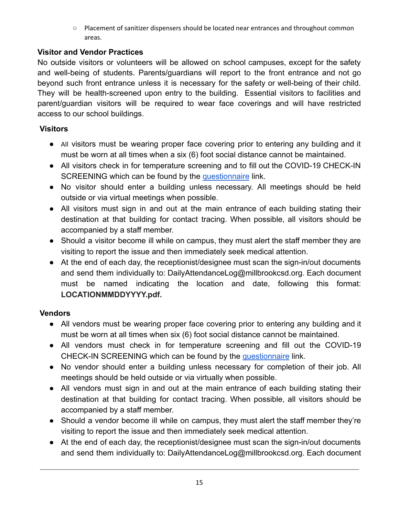○ Placement of sanitizer dispensers should be located near entrances and throughout common areas.

## **Visitor and Vendor Practices**

No outside visitors or volunteers will be allowed on school campuses, except for the safety and well-being of students. Parents/guardians will report to the front entrance and not go beyond such front entrance unless it is necessary for the safety or well-being of their child. They will be health-screened upon entry to the building. Essential visitors to facilities and parent/guardian visitors will be required to wear face coverings and will have restricted access to our school buildings.

## **Visitors**

- All visitors must be wearing proper face covering prior to entering any building and it must be worn at all times when a six (6) foot social distance cannot be maintained.
- All visitors check in for temperature screening and to fill out the COVID-19 CHECK-IN SCREENING which can be found by the [questionnaire](https://forms.gle/Cow8UyS2PPMEfunP7) link.
- No visitor should enter a building unless necessary. All meetings should be held outside or via virtual meetings when possible.
- All visitors must sign in and out at the main entrance of each building stating their destination at that building for contact tracing. When possible, all visitors should be accompanied by a staff member.
- Should a visitor become ill while on campus, they must alert the staff member they are visiting to report the issue and then immediately seek medical attention.
- At the end of each day, the receptionist/designee must scan the sign-in/out documents and send them individually to: DailyAttendanceLog@millbrookcsd.org. Each document must be named indicating the location and date, following this format: **LOCATIONMMDDYYYY.pdf.**

## **Vendors**

- All vendors must be wearing proper face covering prior to entering any building and it must be worn at all times when six (6) foot social distance cannot be maintained.
- All vendors must check in for temperature screening and fill out the COVID-19 CHECK-IN SCREENING which can be found by the [questionnaire](https://forms.gle/Cow8UyS2PPMEfunP7) link.
- No vendor should enter a building unless necessary for completion of their job. All meetings should be held outside or via virtually when possible.
- All vendors must sign in and out at the main entrance of each building stating their destination at that building for contact tracing. When possible, all visitors should be accompanied by a staff member.
- Should a vendor become ill while on campus, they must alert the staff member they're visiting to report the issue and then immediately seek medical attention.
- At the end of each day, the receptionist/designee must scan the sign-in/out documents and send them individually to: DailyAttendanceLog@millbrookcsd.org. Each document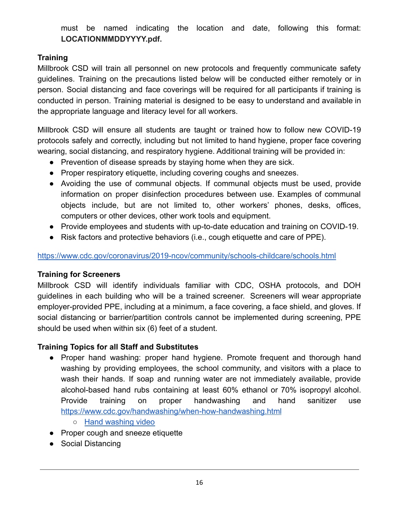must be named indicating the location and date, following this format: **LOCATIONMMDDYYYY.pdf.**

### **Training**

Millbrook CSD will train all personnel on new protocols and frequently communicate safety guidelines. Training on the precautions listed below will be conducted either remotely or in person. Social distancing and face coverings will be required for all participants if training is conducted in person. Training material is designed to be easy to understand and available in the appropriate language and literacy level for all workers.

Millbrook CSD will ensure all students are taught or trained how to follow new COVID-19 protocols safely and correctly, including but not limited to hand hygiene, proper face covering wearing, social distancing, and respiratory hygiene. Additional training will be provided in:

- Prevention of disease spreads by staying home when they are sick.
- Proper respiratory etiquette, including covering coughs and sneezes.
- Avoiding the use of communal objects. If communal objects must be used, provide information on proper disinfection procedures between use. Examples of communal objects include, but are not limited to, other workers' phones, desks, offices, computers or other devices, other work tools and equipment.
- Provide employees and students with up-to-date education and training on COVID-19.
- Risk factors and protective behaviors (i.e., cough etiquette and care of PPE).

#### <https://www.cdc.gov/coronavirus/2019-ncov/community/schools-childcare/schools.html>

#### **Training for Screeners**

Millbrook CSD will identify individuals familiar with CDC, OSHA protocols, and DOH guidelines in each building who will be a trained screener. Screeners will wear appropriate employer-provided PPE, including at a minimum, a face covering, a face shield, and gloves. If social distancing or barrier/partition controls cannot be implemented during screening, PPE should be used when within six (6) feet of a student.

## **Training Topics for all Staff and Substitutes**

- Proper hand washing: proper hand hygiene. Promote frequent and thorough hand washing by providing employees, the school community, and visitors with a place to wash their hands. If soap and running water are not immediately available, provide alcohol-based hand rubs containing at least 60% ethanol or 70% isopropyl alcohol. Provide training on proper handwashing and hand sanitizer use <https://www.cdc.gov/handwashing/when-how-handwashing.html>
	- [Hand washing video](https://youtu.be/3PmVJQUCm4E)
- Proper cough and sneeze etiquette
- Social Distancing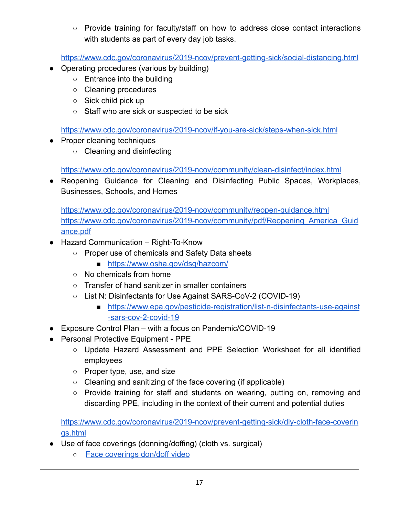○ Provide training for faculty/staff on how to address close contact interactions with students as part of every day job tasks.

<https://www.cdc.gov/coronavirus/2019-ncov/prevent-getting-sick/social-distancing.html>

- Operating procedures (various by building)
	- Entrance into the building
	- Cleaning procedures
	- Sick child pick up
	- Staff who are sick or suspected to be sick

<https://www.cdc.gov/coronavirus/2019-ncov/if-you-are-sick/steps-when-sick.html>

- Proper cleaning techniques
	- Cleaning and disinfecting

<https://www.cdc.gov/coronavirus/2019-ncov/community/clean-disinfect/index.html>

● Reopening Guidance for Cleaning and Disinfecting Public Spaces, Workplaces, Businesses, Schools, and Homes

<https://www.cdc.gov/coronavirus/2019-ncov/community/reopen-guidance.html> [https://www.cdc.gov/coronavirus/2019-ncov/community/pdf/Reopening\\_America\\_Guid](https://www.cdc.gov/coronavirus/2019-ncov/community/pdf/Reopening_America_Guidance.pdf) [ance.pdf](https://www.cdc.gov/coronavirus/2019-ncov/community/pdf/Reopening_America_Guidance.pdf)

- Hazard Communication Right-To-Know
	- Proper use of chemicals and Safety Data sheets
		- <https://www.osha.gov/dsg/hazcom/>
	- No chemicals from home
	- Transfer of hand sanitizer in smaller containers
	- List N: Disinfectants for Use Against SARS-CoV-2 (COVID-19)
		- [https://www.epa.gov/pesticide-registration/list-n-disinfectants-use-against](https://www.epa.gov/pesticide-registration/list-n-disinfectants-use-against-sars-cov-2-covid-19) [-sars-cov-2-covid-19](https://www.epa.gov/pesticide-registration/list-n-disinfectants-use-against-sars-cov-2-covid-19)
- Exposure Control Plan with a focus on Pandemic/COVID-19
- Personal Protective Equipment PPE
	- Update Hazard Assessment and PPE Selection Worksheet for all identified employees
	- Proper type, use, and size
	- Cleaning and sanitizing of the face covering (if applicable)
	- Provide training for staff and students on wearing, putting on, removing and discarding PPE, including in the context of their current and potential duties

[https://www.cdc.gov/coronavirus/2019-ncov/prevent-getting-sick/diy-cloth-face-coverin](https://www.cdc.gov/coronavirus/2019-ncov/prevent-getting-sick/diy-cloth-face-coverings.html) [gs.html](https://www.cdc.gov/coronavirus/2019-ncov/prevent-getting-sick/diy-cloth-face-coverings.html)

- Use of face coverings (donning/doffing) (cloth vs. surgical)
	- [Face coverings don/doff video](https://youtu.be/z-5RYKLYvaw)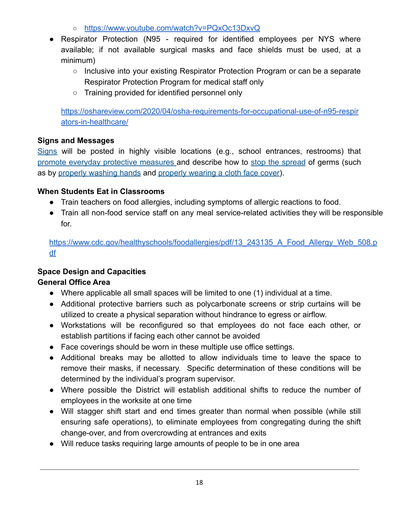- <https://www.youtube.com/watch?v=PQxOc13DxvQ>
- Respirator Protection (N95 required for identified employees per NYS where available; if not available surgical masks and face shields must be used, at a minimum)
	- Inclusive into your existing Respirator Protection Program or can be a separate Respirator Protection Program for medical staff only
	- Training provided for identified personnel only

[https://oshareview.com/2020/04/osha-requirements-for-occupational-use-of-n95-respir](https://oshareview.com/2020/04/osha-requirements-for-occupational-use-of-n95-respirators-in-healthcare/) [ators-in-healthcare/](https://oshareview.com/2020/04/osha-requirements-for-occupational-use-of-n95-respirators-in-healthcare/)

#### **Signs and Messages**

S[igns](https://www.cdc.gov/coronavirus/2019-ncov/communication/print-resources.html?Sort=Date%3A%3Adesc) will be posted in highly visible locations (e.g., school entrances, restrooms) that promote everyday protective [measures](https://www.cdc.gov/coronavirus/2019-ncov/prevent-getting-sick/prevention-H.pdf) and describe how to stop the [spread](https://www.cdc.gov/coronavirus/2019-ncov/downloads/stop-the-spread-of-germs-11x17-en.pdf) of germs (such as by [properly washing hands](https://www.cdc.gov/handwashing/posters.html) and properly wearing [a cloth face cover](https://www.cdc.gov/coronavirus/2019-ncov/images/face-covering-checklist.jpg)).

#### **When Students Eat in Classrooms**

- Train teachers on food allergies, including symptoms of allergic reactions to food.
- Train all non-food service staff on any meal service-related activities they will be responsible for.

[https://www.cdc.gov/healthyschools/foodallergies/pdf/13\\_243135\\_A\\_Food\\_Allergy\\_Web\\_508.p](https://www.cdc.gov/healthyschools/foodallergies/pdf/13_243135_A_Food_Allergy_Web_508.pdf) [df](https://www.cdc.gov/healthyschools/foodallergies/pdf/13_243135_A_Food_Allergy_Web_508.pdf)

## **Space Design and Capacities**

#### **General Office Area**

- Where applicable all small spaces will be limited to one (1) individual at a time.
- Additional protective barriers such as polycarbonate screens or strip curtains will be utilized to create a physical separation without hindrance to egress or airflow.
- Workstations will be reconfigured so that employees do not face each other, or establish partitions if facing each other cannot be avoided
- Face coverings should be worn in these multiple use office settings.
- Additional breaks may be allotted to allow individuals time to leave the space to remove their masks, if necessary. Specific determination of these conditions will be determined by the individual's program supervisor.
- Where possible the District will establish additional shifts to reduce the number of employees in the worksite at one time
- Will stagger shift start and end times greater than normal when possible (while still ensuring safe operations), to eliminate employees from congregating during the shift change-over, and from overcrowding at entrances and exits
- Will reduce tasks requiring large amounts of people to be in one area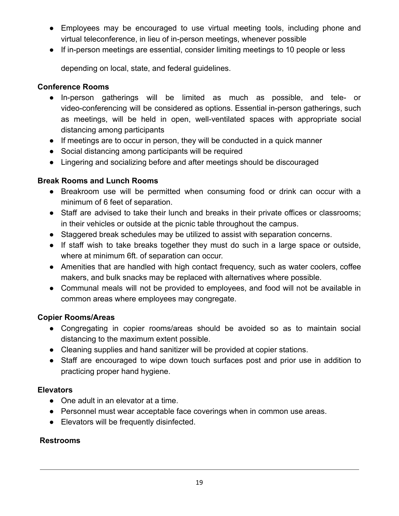- Employees may be encouraged to use virtual meeting tools, including phone and virtual teleconference, in lieu of in-person meetings, whenever possible
- If in-person meetings are essential, consider limiting meetings to 10 people or less

depending on local, state, and federal guidelines.

#### **Conference Rooms**

- In-person gatherings will be limited as much as possible, and tele- or video-conferencing will be considered as options. Essential in-person gatherings, such as meetings, will be held in open, well-ventilated spaces with appropriate social distancing among participants
- If meetings are to occur in person, they will be conducted in a quick manner
- Social distancing among participants will be required
- Lingering and socializing before and after meetings should be discouraged

#### **Break Rooms and Lunch Rooms**

- Breakroom use will be permitted when consuming food or drink can occur with a minimum of 6 feet of separation.
- Staff are advised to take their lunch and breaks in their private offices or classrooms; in their vehicles or outside at the picnic table throughout the campus.
- Staggered break schedules may be utilized to assist with separation concerns.
- If staff wish to take breaks together they must do such in a large space or outside, where at minimum 6ft. of separation can occur.
- Amenities that are handled with high contact frequency, such as water coolers, coffee makers, and bulk snacks may be replaced with alternatives where possible.
- Communal meals will not be provided to employees, and food will not be available in common areas where employees may congregate.

#### **Copier Rooms/Areas**

- Congregating in copier rooms/areas should be avoided so as to maintain social distancing to the maximum extent possible.
- Cleaning supplies and hand sanitizer will be provided at copier stations.
- Staff are encouraged to wipe down touch surfaces post and prior use in addition to practicing proper hand hygiene.

#### **Elevators**

- One adult in an elevator at a time.
- Personnel must wear acceptable face coverings when in common use areas.
- Elevators will be frequently disinfected.

#### **Restrooms**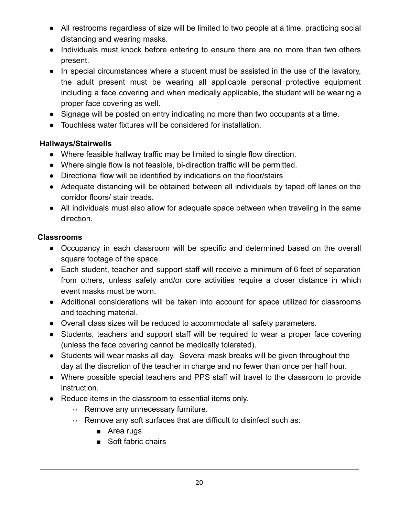- All restrooms regardless of size will be limited to two people at a time, practicing social distancing and wearing masks.
- Individuals must knock before entering to ensure there are no more than two others present.
- In special circumstances where a student must be assisted in the use of the lavatory, the adult present must be wearing all applicable personal protective equipment including a face covering and when medically applicable, the student will be wearing a proper face covering as well.
- Signage will be posted on entry indicating no more than two occupants at a time.
- Touchless water fixtures will be considered for installation.

### **Hallways/Stairwells**

- Where feasible hallway traffic may be limited to single flow direction.
- Where single flow is not feasible, bi-direction traffic will be permitted.
- Directional flow will be identified by indications on the floor/stairs
- Adequate distancing will be obtained between all individuals by taped off lanes on the corridor floors/ stair treads.
- All individuals must also allow for adequate space between when traveling in the same direction.

#### **Classrooms**

- Occupancy in each classroom will be specific and determined based on the overall square footage of the space.
- Each student, teacher and support staff will receive a minimum of 6 feet of separation from others, unless safety and/or core activities require a closer distance in which event masks must be worn.
- Additional considerations will be taken into account for space utilized for classrooms and teaching material.
- Overall class sizes will be reduced to accommodate all safety parameters.
- Students, teachers and support staff will be required to wear a proper face covering (unless the face covering cannot be medically tolerated).
- Students will wear masks all day. Several mask breaks will be given throughout the day at the discretion of the teacher in charge and no fewer than once per half hour.
- Where possible special teachers and PPS staff will travel to the classroom to provide instruction.
- Reduce items in the classroom to essential items only.
	- Remove any unnecessary furniture.
	- Remove any soft surfaces that are difficult to disinfect such as:
		- Area rugs
		- Soft fabric chairs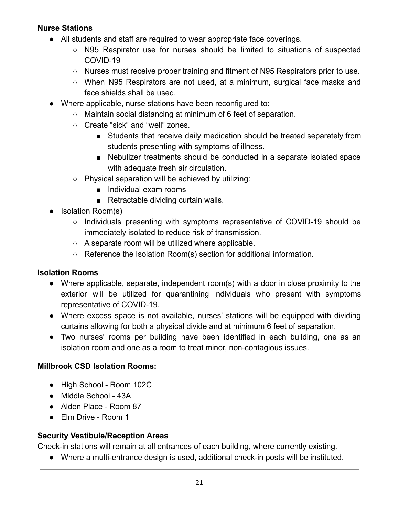#### **Nurse Stations**

- All students and staff are required to wear appropriate face coverings.
	- N95 Respirator use for nurses should be limited to situations of suspected COVID-19
	- Nurses must receive proper training and fitment of N95 Respirators prior to use.
	- When N95 Respirators are not used, at a minimum, surgical face masks and face shields shall be used.
- Where applicable, nurse stations have been reconfigured to:
	- Maintain social distancing at minimum of 6 feet of separation.
	- Create "sick" and "well" zones.
		- Students that receive daily medication should be treated separately from students presenting with symptoms of illness.
		- Nebulizer treatments should be conducted in a separate isolated space with adequate fresh air circulation.
	- Physical separation will be achieved by utilizing:
		- Individual exam rooms
		- Retractable dividing curtain walls.
- Isolation Room(s)
	- Individuals presenting with symptoms representative of COVID-19 should be immediately isolated to reduce risk of transmission.
	- $\circ$  A separate room will be utilized where applicable.
	- Reference the Isolation Room(s) section for additional information*.*

#### **Isolation Rooms**

- Where applicable, separate, independent room(s) with a door in close proximity to the exterior will be utilized for quarantining individuals who present with symptoms representative of COVID-19.
- Where excess space is not available, nurses' stations will be equipped with dividing curtains allowing for both a physical divide and at minimum 6 feet of separation.
- Two nurses' rooms per building have been identified in each building, one as an isolation room and one as a room to treat minor, non-contagious issues.

#### **Millbrook CSD Isolation Rooms:**

- High School Room 102C
- Middle School 43A
- Alden Place Room 87
- Elm Drive Room 1

#### **Security Vestibule/Reception Areas**

Check-in stations will remain at all entrances of each building, where currently existing.

● Where a multi-entrance design is used, additional check-in posts will be instituted.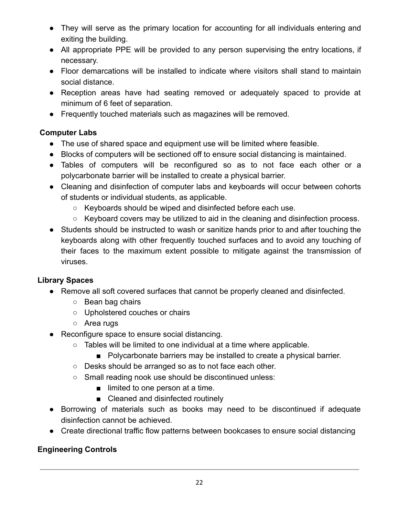- They will serve as the primary location for accounting for all individuals entering and exiting the building.
- All appropriate PPE will be provided to any person supervising the entry locations, if necessary.
- Floor demarcations will be installed to indicate where visitors shall stand to maintain social distance.
- Reception areas have had seating removed or adequately spaced to provide at minimum of 6 feet of separation.
- Frequently touched materials such as magazines will be removed.

### **Computer Labs**

- The use of shared space and equipment use will be limited where feasible.
- Blocks of computers will be sectioned off to ensure social distancing is maintained.
- Tables of computers will be reconfigured so as to not face each other or a polycarbonate barrier will be installed to create a physical barrier.
- Cleaning and disinfection of computer labs and keyboards will occur between cohorts of students or individual students, as applicable.
	- Keyboards should be wiped and disinfected before each use.
	- Keyboard covers may be utilized to aid in the cleaning and disinfection process.
- Students should be instructed to wash or sanitize hands prior to and after touching the keyboards along with other frequently touched surfaces and to avoid any touching of their faces to the maximum extent possible to mitigate against the transmission of viruses.

## **Library Spaces**

- Remove all soft covered surfaces that cannot be properly cleaned and disinfected.
	- Bean bag chairs
	- Upholstered couches or chairs
	- Area rugs
- Reconfigure space to ensure social distancing.
	- Tables will be limited to one individual at a time where applicable.
		- Polycarbonate barriers may be installed to create a physical barrier.
	- Desks should be arranged so as to not face each other.
	- Small reading nook use should be discontinued unless:
		- limited to one person at a time.
		- Cleaned and disinfected routinely
- Borrowing of materials such as books may need to be discontinued if adequate disinfection cannot be achieved.
- Create directional traffic flow patterns between bookcases to ensure social distancing

## **Engineering Controls**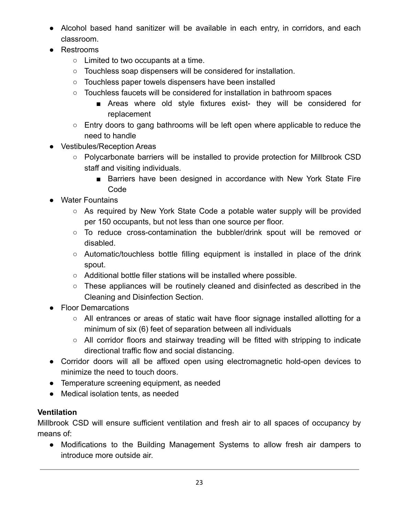- Alcohol based hand sanitizer will be available in each entry, in corridors, and each classroom.
- Restrooms
	- Limited to two occupants at a time.
	- Touchless soap dispensers will be considered for installation.
	- Touchless paper towels dispensers have been installed
	- Touchless faucets will be considered for installation in bathroom spaces
		- Areas where old style fixtures exist- they will be considered for replacement
	- Entry doors to gang bathrooms will be left open where applicable to reduce the need to handle
- Vestibules/Reception Areas
	- Polycarbonate barriers will be installed to provide protection for Millbrook CSD staff and visiting individuals.
		- Barriers have been designed in accordance with New York State Fire Code
- Water Fountains
	- As required by New York State Code a potable water supply will be provided per 150 occupants, but not less than one source per floor.
	- To reduce cross-contamination the bubbler/drink spout will be removed or disabled.
	- Automatic/touchless bottle filling equipment is installed in place of the drink spout.
	- Additional bottle filler stations will be installed where possible.
	- These appliances will be routinely cleaned and disinfected as described in the Cleaning and Disinfection Section.
- Floor Demarcations
	- All entrances or areas of static wait have floor signage installed allotting for a minimum of six (6) feet of separation between all individuals
	- All corridor floors and stairway treading will be fitted with stripping to indicate directional traffic flow and social distancing.
- Corridor doors will all be affixed open using electromagnetic hold-open devices to minimize the need to touch doors.
- Temperature screening equipment, as needed
- Medical isolation tents, as needed

## **Ventilation**

Millbrook CSD will ensure sufficient ventilation and fresh air to all spaces of occupancy by means of:

● Modifications to the Building Management Systems to allow fresh air dampers to introduce more outside air.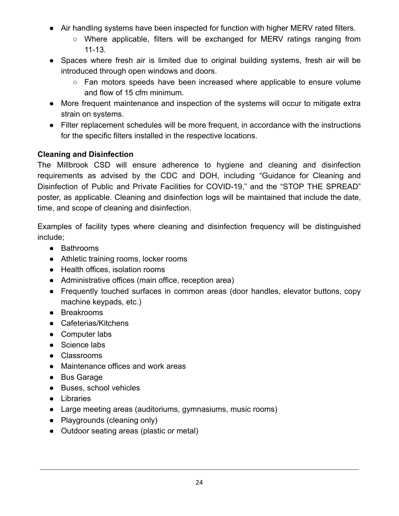- Air handling systems have been inspected for function with higher MERV rated filters.
	- Where applicable, filters will be exchanged for MERV ratings ranging from 11-13.
- Spaces where fresh air is limited due to original building systems, fresh air will be introduced through open windows and doors.
	- Fan motors speeds have been increased where applicable to ensure volume and flow of 15 cfm minimum.
- More frequent maintenance and inspection of the systems will occur to mitigate extra strain on systems.
- Filter replacement schedules will be more frequent, in accordance with the instructions for the specific filters installed in the respective locations.

### **Cleaning and Disinfection**

The Millbrook CSD will ensure adherence to hygiene and cleaning and disinfection requirements as advised by the CDC and DOH, including "Guidance for Cleaning and Disinfection of Public and Private Facilities for COVID-19," and the "STOP THE SPREAD" poster, as applicable. Cleaning and disinfection logs will be maintained that include the date, time, and scope of cleaning and disinfection.

Examples of facility types where cleaning and disinfection frequency will be distinguished include;

- Bathrooms
- Athletic training rooms, locker rooms
- Health offices, isolation rooms
- Administrative offices (main office, reception area)
- Frequently touched surfaces in common areas (door handles, elevator buttons, copy machine keypads, etc.)
- Breakrooms
- Cafeterias/Kitchens
- Computer labs
- Science labs
- Classrooms
- Maintenance offices and work areas
- Bus Garage
- Buses, school vehicles
- Libraries
- Large meeting areas (auditoriums, gymnasiums, music rooms)
- Playgrounds (cleaning only)
- Outdoor seating areas (plastic or metal)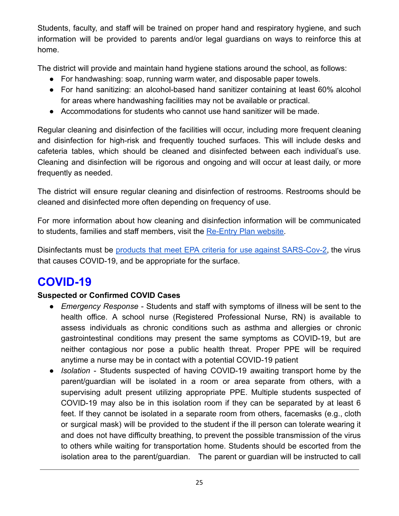Students, faculty, and staff will be trained on proper hand and respiratory hygiene, and such information will be provided to parents and/or legal guardians on ways to reinforce this at home.

The district will provide and maintain hand hygiene stations around the school, as follows:

- For handwashing: soap, running warm water, and disposable paper towels.
- For hand sanitizing: an alcohol-based hand sanitizer containing at least 60% alcohol for areas where handwashing facilities may not be available or practical.
- Accommodations for students who cannot use hand sanitizer will be made.

Regular cleaning and disinfection of the facilities will occur, including more frequent cleaning and disinfection for high-risk and frequently touched surfaces. This will include desks and cafeteria tables, which should be cleaned and disinfected between each individual's use. Cleaning and disinfection will be rigorous and ongoing and will occur at least daily, or more frequently as needed.

The district will ensure regular cleaning and disinfection of restrooms. Restrooms should be cleaned and disinfected more often depending on frequency of use.

For more information about how cleaning and disinfection information will be communicated to students, families and staff members, visit the [Re-Entry Plan website.](https://sites.google.com/millbrookcsd.org/covidreentry/home)

Disinfectants must be products that meet EPA criteria for use against [SARS-Cov-2,](https://www.epa.gov/pesticide-registration/list-n-disinfectants-use-against-sars-cov-2) the virus that causes COVID-19, and be appropriate for the surface.

# **COVID-19**

## **Suspected or Confirmed COVID Cases**

- *Emergency Response* Students and staff with symptoms of illness will be sent to the health office. A school nurse (Registered Professional Nurse, RN) is available to assess individuals as chronic conditions such as asthma and allergies or chronic gastrointestinal conditions may present the same symptoms as COVID-19, but are neither contagious nor pose a public health threat. Proper PPE will be required anytime a nurse may be in contact with a potential COVID-19 patient
- *Isolation* Students suspected of having COVID-19 awaiting transport home by the parent/guardian will be isolated in a room or area separate from others, with a supervising adult present utilizing appropriate PPE. Multiple students suspected of COVID-19 may also be in this isolation room if they can be separated by at least 6 feet. If they cannot be isolated in a separate room from others, facemasks (e.g., cloth or surgical mask) will be provided to the student if the ill person can tolerate wearing it and does not have difficulty breathing, to prevent the possible transmission of the virus to others while waiting for transportation home. Students should be escorted from the isolation area to the parent/guardian. The parent or guardian will be instructed to call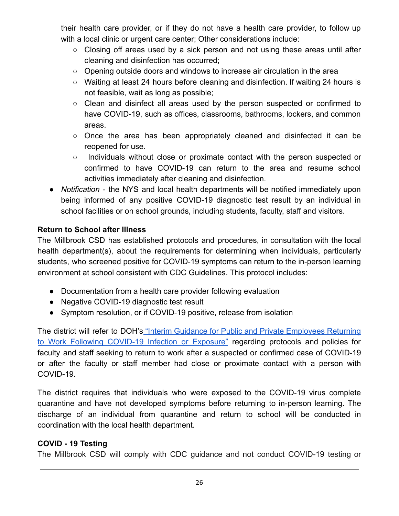their health care provider, or if they do not have a health care provider, to follow up with a local clinic or urgent care center; Other considerations include:

- $\circ$  Closing off areas used by a sick person and not using these areas until after cleaning and disinfection has occurred;
- $\circ$  Opening outside doors and windows to increase air circulation in the area
- Waiting at least 24 hours before cleaning and disinfection. If waiting 24 hours is not feasible, wait as long as possible;
- Clean and disinfect all areas used by the person suspected or confirmed to have COVID-19, such as offices, classrooms, bathrooms, lockers, and common areas.
- $\circ$  Once the area has been appropriately cleaned and disinfected it can be reopened for use.
- Individuals without close or proximate contact with the person suspected or confirmed to have COVID-19 can return to the area and resume school activities immediately after cleaning and disinfection.
- *Notification* the NYS and local health departments will be notified immediately upon being informed of any positive COVID-19 diagnostic test result by an individual in school facilities or on school grounds, including students, faculty, staff and visitors.

### **Return to School after Illness**

The Millbrook CSD has established protocols and procedures, in consultation with the local health department(s), about the requirements for determining when individuals, particularly students, who screened positive for COVID-19 symptoms can return to the in-person learning environment at school consistent with CDC Guidelines. This protocol includes:

- Documentation from a health care provider following evaluation
- Negative COVID-19 diagnostic test result
- Symptom resolution, or if COVID-19 positive, release from isolation

The district will refer to DOH's "Interim Guidance for Public and Private [Employees](https://coronavirus.health.ny.gov/system/files/documents/2020/06/doh_covid19_publicprivateemployeereturntowork_053120.pdf) Returning to Work Following [COVID-19](https://coronavirus.health.ny.gov/system/files/documents/2020/06/doh_covid19_publicprivateemployeereturntowork_053120.pdf) Infection or Exposure" regarding protocols and policies for faculty and staff seeking to return to work after a suspected or confirmed case of COVID-19 or after the faculty or staff member had close or proximate contact with a person with COVID-19.

The district requires that individuals who were exposed to the COVID-19 virus complete quarantine and have not developed symptoms before returning to in-person learning. The discharge of an individual from quarantine and return to school will be conducted in coordination with the local health department.

#### **COVID - 19 Testing**

The Millbrook CSD will comply with CDC guidance and not conduct COVID-19 testing or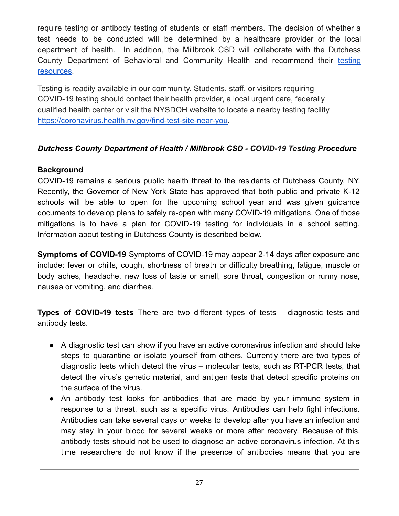require testing or antibody testing of students or staff members. The decision of whether a test needs to be conducted will be determined by a healthcare provider or the local department of health. In addition, the Millbrook CSD will collaborate with the Dutchess County Department of Behavioral and Community Health and recommend their [testing](https://www.dutchessny.gov/Departments/DBCH/Collection-Sites-for-Testing-in-Dutchess-County.htm) [resources](https://www.dutchessny.gov/Departments/DBCH/Collection-Sites-for-Testing-in-Dutchess-County.htm).

Testing is readily available in our community. Students, staff, or visitors requiring COVID-19 testing should contact their health provider, a local urgent care, federally qualified health center or visit the NYSDOH website to locate a nearby testing facility [https://coronavirus.health.ny.gov/find-test-site-near-you.](https://nam12.safelinks.protection.outlook.com/?url=https%3A%2F%2Fcoronavirus.health.ny.gov%2Ffind-test-site-near-you&data=02%7C01%7Cfguglieri%40pnwboces.org%7Cee65b81a975d4e2cd8e608d83d449c1b%7Cb3a0b34f03be4d7393bb2b89e0feb538%7C0%7C0%7C637326712185560127&sdata=CwFz%2Fy2Cploxgsq6ozjNexWy4bYTZZH8w7XxvlJuHGo%3D&reserved=0)

#### *Dutchess County Department of Health / Millbrook CSD - COVID-19 Testing Procedure*

### **Background**

COVID-19 remains a serious public health threat to the residents of Dutchess County, NY. Recently, the Governor of New York State has approved that both public and private K-12 schools will be able to open for the upcoming school year and was given guidance documents to develop plans to safely re-open with many COVID-19 mitigations. One of those mitigations is to have a plan for COVID-19 testing for individuals in a school setting. Information about testing in Dutchess County is described below.

**Symptoms of COVID-19** Symptoms of COVID-19 may appear 2-14 days after exposure and include: fever or chills, cough, shortness of breath or difficulty breathing, fatigue, muscle or body aches, headache, new loss of taste or smell, sore throat, congestion or runny nose, nausea or vomiting, and diarrhea.

**Types of COVID-19 tests** There are two different types of tests – diagnostic tests and antibody tests.

- A diagnostic test can show if you have an active coronavirus infection and should take steps to quarantine or isolate yourself from others. Currently there are two types of diagnostic tests which detect the virus – molecular tests, such as RT-PCR tests, that detect the virus's genetic material, and antigen tests that detect specific proteins on the surface of the virus.
- An antibody test looks for antibodies that are made by your immune system in response to a threat, such as a specific virus. Antibodies can help fight infections. Antibodies can take several days or weeks to develop after you have an infection and may stay in your blood for several weeks or more after recovery. Because of this, antibody tests should not be used to diagnose an active coronavirus infection. At this time researchers do not know if the presence of antibodies means that you are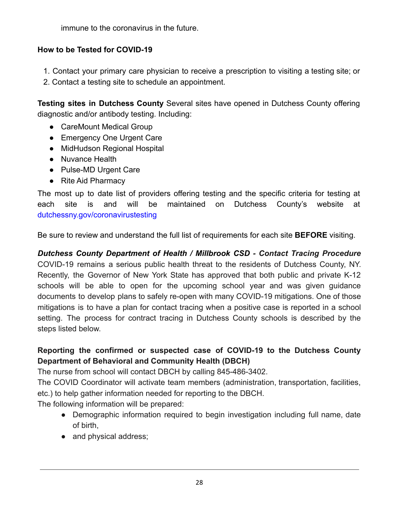immune to the coronavirus in the future.

### **How to be Tested for COVID-19**

- 1. Contact your primary care physician to receive a prescription to visiting a testing site; or
- 2. Contact a testing site to schedule an appointment.

**Testing sites in Dutchess County** Several sites have opened in Dutchess County offering diagnostic and/or antibody testing. Including:

- CareMount Medical Group
- Emergency One Urgent Care
- MidHudson Regional Hospital
- Nuvance Health
- Pulse-MD Urgent Care
- Rite Aid Pharmacy

The most up to date list of providers offering testing and the specific criteria for testing at each site is and will be maintained on Dutchess County's website at dutchessny.gov/coronavirustesting

Be sure to review and understand the full list of requirements for each site **BEFORE** visiting.

## *Dutchess County Department of Health / Millbrook CSD - Contact Tracing Procedure*

COVID-19 remains a serious public health threat to the residents of Dutchess County, NY. Recently, the Governor of New York State has approved that both public and private K-12 schools will be able to open for the upcoming school year and was given guidance documents to develop plans to safely re-open with many COVID-19 mitigations. One of those mitigations is to have a plan for contact tracing when a positive case is reported in a school setting. The process for contract tracing in Dutchess County schools is described by the steps listed below.

## **Reporting the confirmed or suspected case of COVID-19 to the Dutchess County Department of Behavioral and Community Health (DBCH)**

The nurse from school will contact DBCH by calling 845-486-3402.

The COVID Coordinator will activate team members (administration, transportation, facilities, etc.) to help gather information needed for reporting to the DBCH.

The following information will be prepared:

- Demographic information required to begin investigation including full name, date of birth,
- and physical address;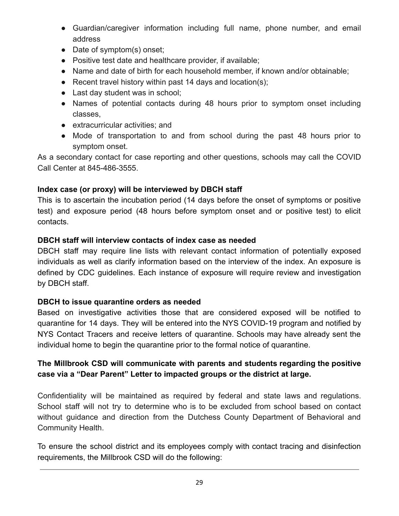- Guardian/caregiver information including full name, phone number, and email address
- Date of symptom(s) onset;
- Positive test date and healthcare provider, if available;
- Name and date of birth for each household member, if known and/or obtainable;
- Recent travel history within past 14 days and location(s);
- Last day student was in school;
- Names of potential contacts during 48 hours prior to symptom onset including classes,
- extracurricular activities; and
- Mode of transportation to and from school during the past 48 hours prior to symptom onset.

As a secondary contact for case reporting and other questions, schools may call the COVID Call Center at 845-486-3555.

### **Index case (or proxy) will be interviewed by DBCH staff**

This is to ascertain the incubation period (14 days before the onset of symptoms or positive test) and exposure period (48 hours before symptom onset and or positive test) to elicit contacts.

#### **DBCH staff will interview contacts of index case as needed**

DBCH staff may require line lists with relevant contact information of potentially exposed individuals as well as clarify information based on the interview of the index. An exposure is defined by CDC guidelines. Each instance of exposure will require review and investigation by DBCH staff.

#### **DBCH to issue quarantine orders as needed**

Based on investigative activities those that are considered exposed will be notified to quarantine for 14 days. They will be entered into the NYS COVID-19 program and notified by NYS Contact Tracers and receive letters of quarantine. Schools may have already sent the individual home to begin the quarantine prior to the formal notice of quarantine.

### **The Millbrook CSD will communicate with parents and students regarding the positive case via a "Dear Parent" Letter to impacted groups or the district at large.**

Confidentiality will be maintained as required by federal and state laws and regulations. School staff will not try to determine who is to be excluded from school based on contact without guidance and direction from the Dutchess County Department of Behavioral and Community Health.

To ensure the school district and its employees comply with contact tracing and disinfection requirements, the Millbrook CSD will do the following: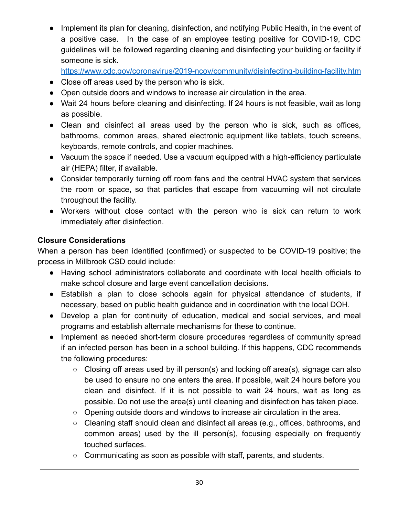• Implement its plan for cleaning, disinfection, and notifying Public Health, in the event of a positive case. In the case of an employee testing positive for COVID-19, CDC guidelines will be followed regarding cleaning and disinfecting your building or facility if someone is sick[.](https://www.cdc.gov/coronavirus/2019-ncov/community/disinfecting-building-facility.html)

<https://www.cdc.gov/coronavirus/2019-ncov/>[community/disinfecting-building-facility.htm](https://www.cdc.gov/coronavirus/2019-ncov/community/disinfecting-building-facility.html)

- Close off areas used by the person who is sick.
- Open outside doors and windows to increase air circulation in the area.
- Wait 24 hours before cleaning and disinfecting. If 24 hours is not feasible, wait as long as possible.
- Clean and disinfect all areas used by the person who is sick, such as offices, bathrooms, common areas, shared electronic equipment like tablets, touch screens, keyboards, remote controls, and copier machines.
- Vacuum the space if needed. Use a vacuum equipped with a high-efficiency particulate air (HEPA) filter, if available.
- Consider temporarily turning off room fans and the central HVAC system that services the room or space, so that particles that escape from vacuuming will not circulate throughout the facility.
- Workers without close contact with the person who is sick can return to work immediately after disinfection.

### **Closure Considerations**

When a person has been identified (confirmed) or suspected to be COVID-19 positive; the process in Millbrook CSD could include:

- Having school administrators collaborate and coordinate with local health officials to make school closure and large event cancellation decisions**.**
- Establish a plan to close schools again for physical attendance of students, if necessary, based on public health guidance and in coordination with the local DOH.
- Develop a plan for continuity of education, medical and social services, and meal programs and establish alternate mechanisms for these to continue.
- Implement as needed short-term closure procedures regardless of community spread if an infected person has been in a school building. If this happens, CDC recommends the following procedures:
	- Closing off areas used by ill person(s) and locking off area(s), signage can also be used to ensure no one enters the area. If possible, wait 24 hours before you clean and disinfect. If it is not possible to wait 24 hours, wait as long as possible. Do not use the area(s) until cleaning and disinfection has taken place.
	- Opening outside doors and windows to increase air circulation in the area.
	- Cleaning staff should clean and disinfect all areas (e.g., offices, bathrooms, and common areas) used by the ill person(s), focusing especially on frequently touched surfaces.
	- Communicating as soon as possible with staff, parents, and students.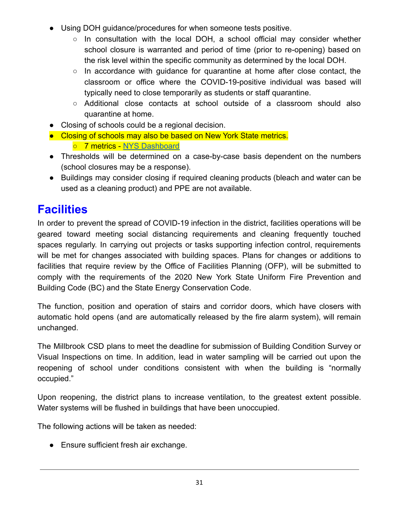- Using DOH guidance/procedures for when someone tests positive.
	- $\circ$  In consultation with the local DOH, a school official may consider whether school closure is warranted and period of time (prior to re-opening) based on the risk level within the specific community as determined by the local DOH.
	- $\circ$  In accordance with guidance for quarantine at home after close contact, the classroom or office where the COVID-19-positive individual was based will typically need to close temporarily as students or staff quarantine.
	- Additional close contacts at school outside of a classroom should also quarantine at home.
- Closing of schools could be a regional decision.
- Closing of schools may also be based on New York State metrics.
	- 7 metrics [NYS Dashboard](https://forward.ny.gov/)
- Thresholds will be determined on a case-by-case basis dependent on the numbers (school closures may be a response).
- Buildings may consider closing if required cleaning products (bleach and water can be used as a cleaning product) and PPE are not available.

# **Facilities**

In order to prevent the spread of COVID-19 infection in the district, facilities operations will be geared toward meeting social distancing requirements and cleaning frequently touched spaces regularly. In carrying out projects or tasks supporting infection control, requirements will be met for changes associated with building spaces. Plans for changes or additions to facilities that require review by the Office of Facilities Planning (OFP), will be submitted to comply with the requirements of the 2020 New York State Uniform Fire Prevention and Building Code (BC) and the State Energy Conservation Code.

The function, position and operation of stairs and corridor doors, which have closers with automatic hold opens (and are automatically released by the fire alarm system), will remain unchanged.

The Millbrook CSD plans to meet the deadline for submission of Building Condition Survey or Visual Inspections on time. In addition, lead in water sampling will be carried out upon the reopening of school under conditions consistent with when the building is "normally occupied."

Upon reopening, the district plans to increase ventilation, to the greatest extent possible. Water systems will be flushed in buildings that have been unoccupied.

The following actions will be taken as needed:

● Ensure sufficient fresh air exchange.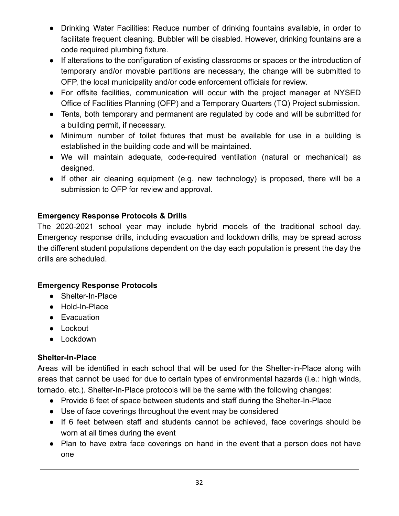- Drinking Water Facilities: Reduce number of drinking fountains available, in order to facilitate frequent cleaning. Bubbler will be disabled. However, drinking fountains are a code required plumbing fixture.
- If alterations to the configuration of existing classrooms or spaces or the introduction of temporary and/or movable partitions are necessary, the change will be submitted to OFP, the local municipality and/or code enforcement officials for review.
- For offsite facilities, communication will occur with the project manager at NYSED Office of Facilities Planning (OFP) and a Temporary Quarters (TQ) Project submission.
- Tents, both temporary and permanent are regulated by code and will be submitted for a building permit, if necessary.
- Minimum number of toilet fixtures that must be available for use in a building is established in the building code and will be maintained.
- We will maintain adequate, code-required ventilation (natural or mechanical) as designed.
- If other air cleaning equipment (e.g. new technology) is proposed, there will be a submission to OFP for review and approval.

### **Emergency Response Protocols & Drills**

The 2020-2021 school year may include hybrid models of the traditional school day. Emergency response drills, including evacuation and lockdown drills, may be spread across the different student populations dependent on the day each population is present the day the drills are scheduled.

#### **Emergency Response Protocols**

- Shelter-In-Place
- Hold-In-Place
- Evacuation
- Lockout
- Lockdown

#### **Shelter-In-Place**

Areas will be identified in each school that will be used for the Shelter-in-Place along with areas that cannot be used for due to certain types of environmental hazards (i.e.: high winds, tornado, etc.). Shelter-In-Place protocols will be the same with the following changes:

- Provide 6 feet of space between students and staff during the Shelter-In-Place
- Use of face coverings throughout the event may be considered
- If 6 feet between staff and students cannot be achieved, face coverings should be worn at all times during the event
- Plan to have extra face coverings on hand in the event that a person does not have one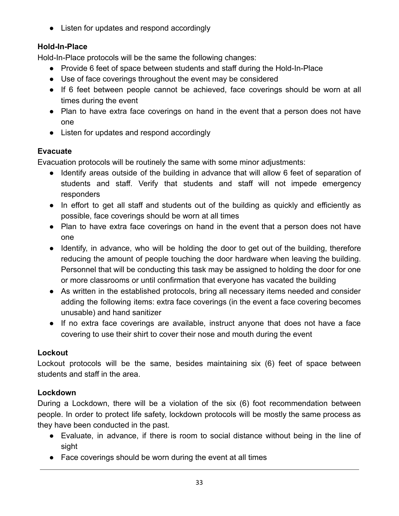● Listen for updates and respond accordingly

## **Hold-In-Place**

Hold-In-Place protocols will be the same the following changes:

- Provide 6 feet of space between students and staff during the Hold-In-Place
- Use of face coverings throughout the event may be considered
- If 6 feet between people cannot be achieved, face coverings should be worn at all times during the event
- Plan to have extra face coverings on hand in the event that a person does not have one
- Listen for updates and respond accordingly

#### **Evacuate**

Evacuation protocols will be routinely the same with some minor adjustments:

- Identify areas outside of the building in advance that will allow 6 feet of separation of students and staff. Verify that students and staff will not impede emergency responders
- In effort to get all staff and students out of the building as quickly and efficiently as possible, face coverings should be worn at all times
- Plan to have extra face coverings on hand in the event that a person does not have one
- Identify, in advance, who will be holding the door to get out of the building, therefore reducing the amount of people touching the door hardware when leaving the building. Personnel that will be conducting this task may be assigned to holding the door for one or more classrooms or until confirmation that everyone has vacated the building
- As written in the established protocols, bring all necessary items needed and consider adding the following items: extra face coverings (in the event a face covering becomes unusable) and hand sanitizer
- If no extra face coverings are available, instruct anyone that does not have a face covering to use their shirt to cover their nose and mouth during the event

## **Lockout**

Lockout protocols will be the same, besides maintaining six (6) feet of space between students and staff in the area.

#### **Lockdown**

During a Lockdown, there will be a violation of the six (6) foot recommendation between people. In order to protect life safety, lockdown protocols will be mostly the same process as they have been conducted in the past.

- Evaluate, in advance, if there is room to social distance without being in the line of sight
- Face coverings should be worn during the event at all times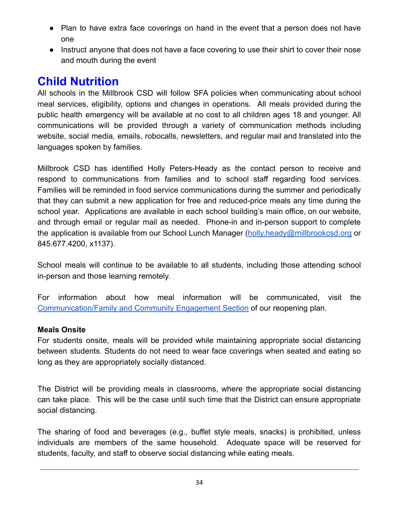- Plan to have extra face coverings on hand in the event that a person does not have one
- Instruct anyone that does not have a face covering to use their shirt to cover their nose and mouth during the event

# **Child Nutrition**

All schools in the Millbrook CSD will follow SFA policies when communicating about school meal services, eligibility, options and changes in operations. All meals provided during the public health emergency will be available at no cost to all children ages 18 and younger. All communications will be provided through a variety of communication methods including website, social media, emails, robocalls, newsletters, and regular mail and translated into the languages spoken by families.

Millbrook CSD has identified Holly Peters-Heady as the contact person to receive and respond to communications from families and to school staff regarding food services. Families will be reminded in food service communications during the summer and periodically that they can submit a new application for free and reduced-price meals any time during the school year. Applications are available in each school building's main office, on our website, and through email or regular mail as needed. Phone-in and in-person support to complete the application is available from our School Lunch Manager ([holly.heady@millbrookcsd.org](mailto:holly.heady@millbrookcsd.org) or 845.677.4200, x1137).

School meals will continue to be available to all students, including those attending school in-person and those learning remotely.

For information about how meal information will be communicated, visit the [Communication/Family and Community Engagement Section](https://sites.google.com/millbrookcsd.org/covidreentry/home/parent-community-engagement) of our reopening plan.

#### **Meals Onsite**

For students onsite, meals will be provided while maintaining appropriate social distancing between students. Students do not need to wear face coverings when seated and eating so long as they are appropriately socially distanced.

The District will be providing meals in classrooms, where the appropriate social distancing can take place. This will be the case until such time that the District can ensure appropriate social distancing.

The sharing of food and beverages (e.g., buffet style meals, snacks) is prohibited, unless individuals are members of the same household. Adequate space will be reserved for students, faculty, and staff to observe social distancing while eating meals.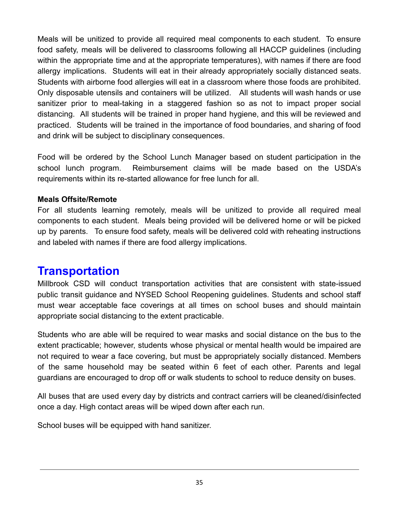Meals will be unitized to provide all required meal components to each student. To ensure food safety, meals will be delivered to classrooms following all HACCP guidelines (including within the appropriate time and at the appropriate temperatures), with names if there are food allergy implications. Students will eat in their already appropriately socially distanced seats. Students with airborne food allergies will eat in a classroom where those foods are prohibited. Only disposable utensils and containers will be utilized. All students will wash hands or use sanitizer prior to meal-taking in a staggered fashion so as not to impact proper social distancing. All students will be trained in proper hand hygiene, and this will be reviewed and practiced. Students will be trained in the importance of food boundaries, and sharing of food and drink will be subject to disciplinary consequences.

Food will be ordered by the School Lunch Manager based on student participation in the school lunch program. Reimbursement claims will be made based on the USDA's requirements within its re-started allowance for free lunch for all.

#### **Meals Offsite/Remote**

For all students learning remotely, meals will be unitized to provide all required meal components to each student. Meals being provided will be delivered home or will be picked up by parents. To ensure food safety, meals will be delivered cold with reheating instructions and labeled with names if there are food allergy implications.

## **Transportation**

Millbrook CSD will conduct transportation activities that are consistent with state-issued public transit guidance and NYSED School Reopening guidelines. Students and school staff must wear acceptable face coverings at all times on school buses and should maintain appropriate social distancing to the extent practicable.

Students who are able will be required to wear masks and social distance on the bus to the extent practicable; however, students whose physical or mental health would be impaired are not required to wear a face covering, but must be appropriately socially distanced. Members of the same household may be seated within 6 feet of each other. Parents and legal guardians are encouraged to drop off or walk students to school to reduce density on buses.

All buses that are used every day by districts and contract carriers will be cleaned/disinfected once a day. High contact areas will be wiped down after each run.

School buses will be equipped with hand sanitizer.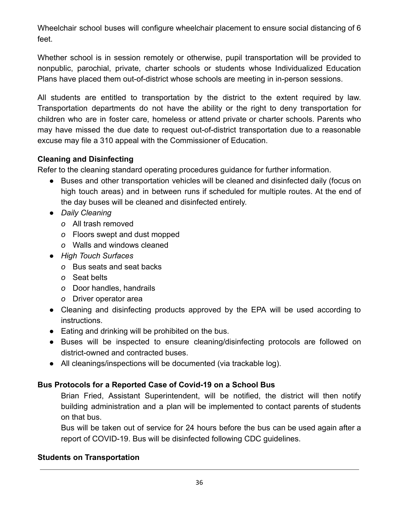Wheelchair school buses will configure wheelchair placement to ensure social distancing of 6 feet.

Whether school is in session remotely or otherwise, pupil transportation will be provided to nonpublic, parochial, private, charter schools or students whose Individualized Education Plans have placed them out-of-district whose schools are meeting in in-person sessions.

All students are entitled to transportation by the district to the extent required by law. Transportation departments do not have the ability or the right to deny transportation for children who are in foster care, homeless or attend private or charter schools. Parents who may have missed the due date to request out-of-district transportation due to a reasonable excuse may file a 310 appeal with the Commissioner of Education.

### **Cleaning and Disinfecting**

Refer to the cleaning standard operating procedures guidance for further information.

- Buses and other transportation vehicles will be cleaned and disinfected daily (focus on high touch areas) and in between runs if scheduled for multiple routes. At the end of the day buses will be cleaned and disinfected entirely.
- *● Daily Cleaning*
	- *o* All trash removed
	- *o* Floors swept and dust mopped
	- *o* Walls and windows cleaned
- *● High Touch Surfaces*
	- *o* Bus seats and seat backs
	- *o* Seat belts
	- *o* Door handles, handrails
	- *o* Driver operator area
- Cleaning and disinfecting products approved by the EPA will be used according to instructions.
- Eating and drinking will be prohibited on the bus.
- Buses will be inspected to ensure cleaning/disinfecting protocols are followed on district-owned and contracted buses.
- All cleanings/inspections will be documented (via trackable log).

## **Bus Protocols for a Reported Case of Covid-19 on a School Bus**

Brian Fried, Assistant Superintendent, will be notified, the district will then notify building administration and a plan will be implemented to contact parents of students on that bus.

Bus will be taken out of service for 24 hours before the bus can be used again after a report of COVID-19. Bus will be disinfected following CDC guidelines.

#### **Students on Transportation**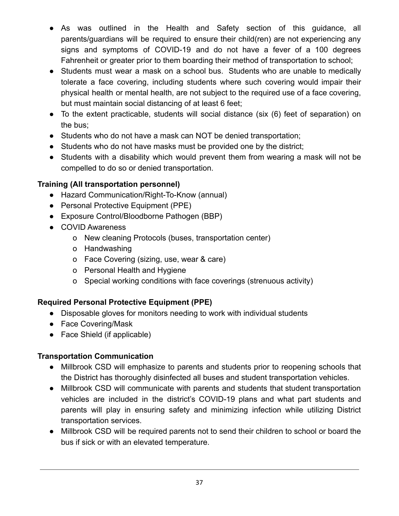- As was outlined in the Health and Safety section of this guidance, all parents/guardians will be required to ensure their child(ren) are not experiencing any signs and symptoms of COVID-19 and do not have a fever of a 100 degrees Fahrenheit or greater prior to them boarding their method of transportation to school;
- Students must wear a mask on a school bus. Students who are unable to medically tolerate a face covering, including students where such covering would impair their physical health or mental health, are not subject to the required use of a face covering, but must maintain social distancing of at least 6 feet;
- To the extent practicable, students will social distance (six (6) feet of separation) on the bus;
- Students who do not have a mask can NOT be denied transportation;
- Students who do not have masks must be provided one by the district;
- Students with a disability which would prevent them from wearing a mask will not be compelled to do so or denied transportation.

#### **Training (All transportation personnel)**

- Hazard Communication/Right-To-Know (annual)
- Personal Protective Equipment (PPE)
- Exposure Control/Bloodborne Pathogen (BBP)
- COVID Awareness
	- o New cleaning Protocols (buses, transportation center)
	- o Handwashing
	- o Face Covering (sizing, use, wear & care)
	- o Personal Health and Hygiene
	- o Special working conditions with face coverings (strenuous activity)

## **Required Personal Protective Equipment (PPE)**

- Disposable gloves for monitors needing to work with individual students
- Face Covering/Mask
- Face Shield (if applicable)

#### **Transportation Communication**

- Millbrook CSD will emphasize to parents and students prior to reopening schools that the District has thoroughly disinfected all buses and student transportation vehicles.
- Millbrook CSD will communicate with parents and students that student transportation vehicles are included in the district's COVID-19 plans and what part students and parents will play in ensuring safety and minimizing infection while utilizing District transportation services.
- Millbrook CSD will be required parents not to send their children to school or board the bus if sick or with an elevated temperature.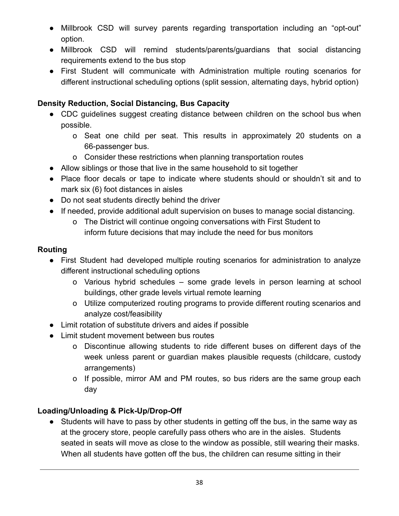- Millbrook CSD will survey parents regarding transportation including an "opt-out" option.
- Millbrook CSD will remind students/parents/guardians that social distancing requirements extend to the bus stop
- First Student will communicate with Administration multiple routing scenarios for different instructional scheduling options (split session, alternating days, hybrid option)

#### **Density Reduction, Social Distancing, Bus Capacity**

- CDC guidelines suggest creating distance between children on the school bus when possible.
	- o Seat one child per seat. This results in approximately 20 students on a 66-passenger bus.
	- o Consider these restrictions when planning transportation routes
- Allow siblings or those that live in the same household to sit together
- Place floor decals or tape to indicate where students should or shouldn't sit and to mark six (6) foot distances in aisles
- Do not seat students directly behind the driver
- If needed, provide additional adult supervision on buses to manage social distancing.
	- o The District will continue ongoing conversations with First Student to inform future decisions that may include the need for bus monitors

#### **Routing**

- First Student had developed multiple routing scenarios for administration to analyze different instructional scheduling options
	- o Various hybrid schedules some grade levels in person learning at school buildings, other grade levels virtual remote learning
	- o Utilize computerized routing programs to provide different routing scenarios and analyze cost/feasibility
- Limit rotation of substitute drivers and aides if possible
- Limit student movement between bus routes
	- o Discontinue allowing students to ride different buses on different days of the week unless parent or guardian makes plausible requests (childcare, custody arrangements)
	- o If possible, mirror AM and PM routes, so bus riders are the same group each day

#### **Loading/Unloading & Pick-Up/Drop-Off**

● Students will have to pass by other students in getting off the bus, in the same way as at the grocery store, people carefully pass others who are in the aisles. Students seated in seats will move as close to the window as possible, still wearing their masks. When all students have gotten off the bus, the children can resume sitting in their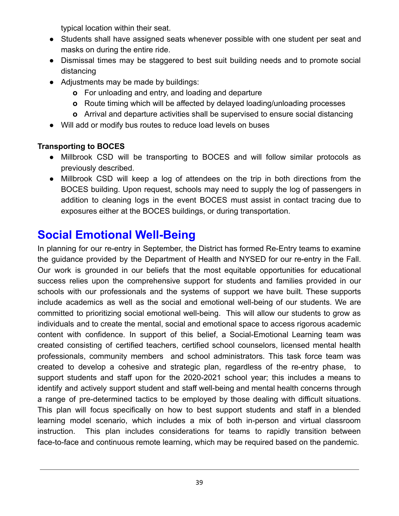typical location within their seat.

- **●** Students shall have assigned seats whenever possible with one student per seat and masks on during the entire ride.
- **●** Dismissal times may be staggered to best suit building needs and to promote social distancing
- **●** Adjustments may be made by buildings:
	- **o** For unloading and entry, and loading and departure
	- **o** Route timing which will be affected by delayed loading/unloading processes
	- **o** Arrival and departure activities shall be supervised to ensure social distancing
- Will add or modify bus routes to reduce load levels on buses

## **Transporting to BOCES**

- Millbrook CSD will be transporting to BOCES and will follow similar protocols as previously described.
- Millbrook CSD will keep a log of attendees on the trip in both directions from the BOCES building. Upon request, schools may need to supply the log of passengers in addition to cleaning logs in the event BOCES must assist in contact tracing due to exposures either at the BOCES buildings, or during transportation.

# **Social Emotional Well-Being**

In planning for our re-entry in September, the District has formed Re-Entry teams to examine the guidance provided by the Department of Health and NYSED for our re-entry in the Fall. Our work is grounded in our beliefs that the most equitable opportunities for educational success relies upon the comprehensive support for students and families provided in our schools with our professionals and the systems of support we have built. These supports include academics as well as the social and emotional well-being of our students. We are committed to prioritizing social emotional well-being. This will allow our students to grow as individuals and to create the mental, social and emotional space to access rigorous academic content with confidence. In support of this belief, a Social-Emotional Learning team was created consisting of certified teachers, certified school counselors, licensed mental health professionals, community members and school administrators. This task force team was created to develop a cohesive and strategic plan, regardless of the re-entry phase, to support students and staff upon for the 2020-2021 school year; this includes a means to identify and actively support student and staff well-being and mental health concerns through a range of pre-determined tactics to be employed by those dealing with difficult situations. This plan will focus specifically on how to best support students and staff in a blended learning model scenario, which includes a mix of both in-person and virtual classroom instruction. This plan includes considerations for teams to rapidly transition between face-to-face and continuous remote learning, which may be required based on the pandemic.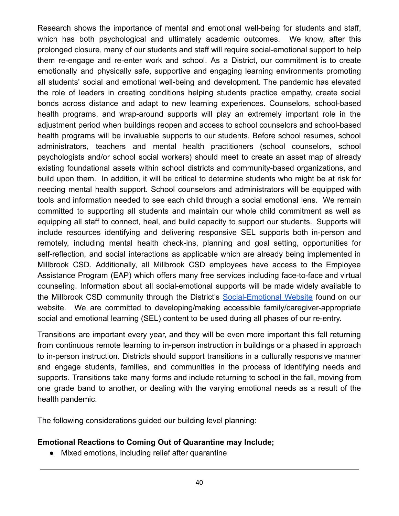Research shows the importance of mental and emotional well-being for students and staff, which has both psychological and ultimately academic outcomes. We know, after this prolonged closure, many of our students and staff will require social-emotional support to help them re-engage and re-enter work and school. As a District, our commitment is to create emotionally and physically safe, supportive and engaging learning environments promoting all students' social and emotional well-being and development. The pandemic has elevated the role of leaders in creating conditions helping students practice empathy, create social bonds across distance and adapt to new learning experiences. Counselors, school-based health programs, and wrap-around supports will play an extremely important role in the adjustment period when buildings reopen and access to school counselors and school-based health programs will be invaluable supports to our students. Before school resumes, school administrators, teachers and mental health practitioners (school counselors, school psychologists and/or school social workers) should meet to create an asset map of already existing foundational assets within school districts and community-based organizations, and build upon them. In addition, it will be critical to determine students who might be at risk for needing mental health support. School counselors and administrators will be equipped with tools and information needed to see each child through a social emotional lens. We remain committed to supporting all students and maintain our whole child commitment as well as equipping all staff to connect, heal, and build capacity to support our students. Supports will include resources identifying and delivering responsive SEL supports both in-person and remotely, including mental health check-ins, planning and goal setting, opportunities for self-reflection, and social interactions as applicable which are already being implemented in Millbrook CSD. Additionally, all Millbrook CSD employees have access to the Employee Assistance Program (EAP) which offers many free services including face-to-face and virtual counseling. Information about all social-emotional supports will be made widely available to the Millbrook CSD community through the District's [Social-Emotional](https://sites.google.com/millbrookcsd.org/cipps/home/social-emotional-learning) Website found on our website. We are committed to developing/making accessible family/caregiver-appropriate social and emotional learning (SEL) content to be used during all phases of our re-entry.

Transitions are important every year, and they will be even more important this fall returning from continuous remote learning to in-person instruction in buildings or a phased in approach to in-person instruction. Districts should support transitions in a culturally responsive manner and engage students, families, and communities in the process of identifying needs and supports. Transitions take many forms and include returning to school in the fall, moving from one grade band to another, or dealing with the varying emotional needs as a result of the health pandemic.

The following considerations guided our building level planning:

#### **Emotional Reactions to Coming Out of Quarantine may Include;**

● Mixed emotions, including relief after quarantine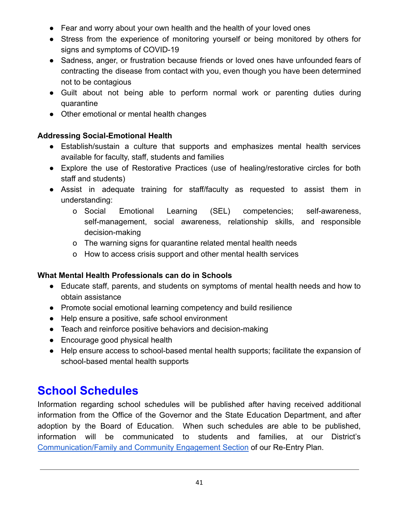- Fear and worry about your own health and the health of your loved ones
- Stress from the experience of monitoring yourself or being monitored by others for signs and symptoms of COVID-19
- Sadness, anger, or frustration because friends or loved ones have unfounded fears of contracting the disease from contact with you, even though you have been determined not to be contagious
- Guilt about not being able to perform normal work or parenting duties during quarantine
- Other emotional or mental health changes

## **Addressing Social-Emotional Health**

- Establish/sustain a culture that supports and emphasizes mental health services available for faculty, staff, students and families
- Explore the use of Restorative Practices (use of healing/restorative circles for both staff and students)
- Assist in adequate training for staff/faculty as requested to assist them in understanding:
	- o Social Emotional Learning (SEL) competencies; self-awareness, self-management, social awareness, relationship skills, and responsible decision-making
	- o The warning signs for quarantine related mental health needs
	- o How to access crisis support and other mental health services

#### **What Mental Health Professionals can do in Schools**

- Educate staff, parents, and students on symptoms of mental health needs and how to obtain assistance
- Promote social emotional learning competency and build resilience
- Help ensure a positive, safe school environment
- Teach and reinforce positive behaviors and decision-making
- Encourage good physical health
- Help ensure access to school-based mental health supports; facilitate the expansion of school-based mental health supports

# **School Schedules**

Information regarding school schedules will be published after having received additional information from the Office of the Governor and the State Education Department, and after adoption by the Board of Education. When such schedules are able to be published, information will be communicated to students and families, at our District's [Communication/Family and Community Engagement Section](https://sites.google.com/millbrookcsd.org/covidreentry/home/parent-community-engagement) of our Re-Entry Plan.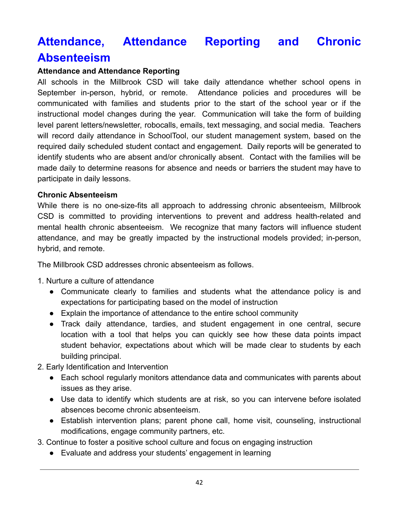# **Attendance, Attendance Reporting and Chronic Absenteeism**

#### **Attendance and Attendance Reporting**

All schools in the Millbrook CSD will take daily attendance whether school opens in September in-person, hybrid, or remote. Attendance policies and procedures will be communicated with families and students prior to the start of the school year or if the instructional model changes during the year. Communication will take the form of building level parent letters/newsletter, robocalls, emails, text messaging, and social media. Teachers will record daily attendance in SchoolTool, our student management system, based on the required daily scheduled student contact and engagement. Daily reports will be generated to identify students who are absent and/or chronically absent. Contact with the families will be made daily to determine reasons for absence and needs or barriers the student may have to participate in daily lessons.

#### **Chronic Absenteeism**

While there is no one-size-fits all approach to addressing chronic absenteeism, Millbrook CSD is committed to providing interventions to prevent and address health-related and mental health chronic absenteeism. We recognize that many factors will influence student attendance, and may be greatly impacted by the instructional models provided; in-person, hybrid, and remote.

The Millbrook CSD addresses chronic absenteeism as follows.

1. Nurture a culture of attendance

- Communicate clearly to families and students what the attendance policy is and expectations for participating based on the model of instruction
- Explain the importance of attendance to the entire school community
- Track daily attendance, tardies, and student engagement in one central, secure location with a tool that helps you can quickly see how these data points impact student behavior, expectations about which will be made clear to students by each building principal.
- 2. Early Identification and Intervention
	- Each school regularly monitors attendance data and communicates with parents about issues as they arise.
	- Use data to identify which students are at risk, so you can intervene before isolated absences become chronic absenteeism.
	- Establish intervention plans; parent phone call, home visit, counseling, instructional modifications, engage community partners, etc.
- 3. Continue to foster a positive school culture and focus on engaging instruction
	- Evaluate and address your students' engagement in learning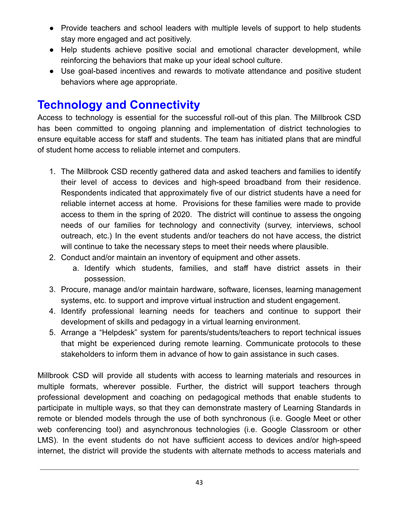- Provide teachers and school leaders with multiple levels of support to help students stay more engaged and act positively.
- Help students achieve positive social and emotional character development, while reinforcing the behaviors that make up your ideal school culture.
- Use goal-based incentives and rewards to motivate attendance and positive student behaviors where age appropriate.

# **Technology and Connectivity**

Access to technology is essential for the successful roll-out of this plan. The Millbrook CSD has been committed to ongoing planning and implementation of district technologies to ensure equitable access for staff and students. The team has initiated plans that are mindful of student home access to reliable internet and computers.

- 1. The Millbrook CSD recently gathered data and asked teachers and families to identify their level of access to devices and high-speed broadband from their residence. Respondents indicated that approximately five of our district students have a need for reliable internet access at home. Provisions for these families were made to provide access to them in the spring of 2020. The district will continue to assess the ongoing needs of our families for technology and connectivity (survey, interviews, school outreach, etc.) In the event students and/or teachers do not have access, the district will continue to take the necessary steps to meet their needs where plausible.
- 2. Conduct and/or maintain an inventory of equipment and other assets.
	- a. Identify which students, families, and staff have district assets in their possession.
- 3. Procure, manage and/or maintain hardware, software, licenses, learning management systems, etc. to support and improve virtual instruction and student engagement.
- 4. Identify professional learning needs for teachers and continue to support their development of skills and pedagogy in a virtual learning environment.
- 5. Arrange a "Helpdesk" system for parents/students/teachers to report technical issues that might be experienced during remote learning. Communicate protocols to these stakeholders to inform them in advance of how to gain assistance in such cases.

Millbrook CSD will provide all students with access to learning materials and resources in multiple formats, wherever possible. Further, the district will support teachers through professional development and coaching on pedagogical methods that enable students to participate in multiple ways, so that they can demonstrate mastery of Learning Standards in remote or blended models through the use of both synchronous (i.e. Google Meet or other web conferencing tool) and asynchronous technologies (i.e. Google Classroom or other LMS). In the event students do not have sufficient access to devices and/or high-speed internet, the district will provide the students with alternate methods to access materials and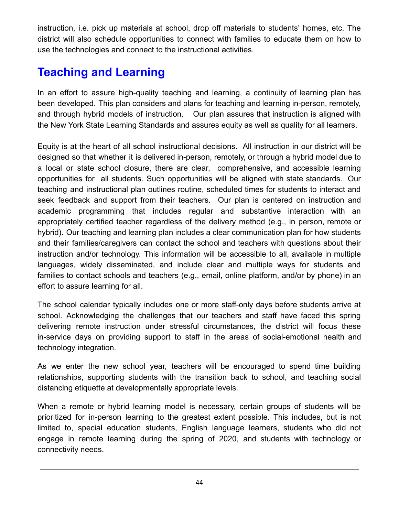instruction, i.e. pick up materials at school, drop off materials to students' homes, etc. The district will also schedule opportunities to connect with families to educate them on how to use the technologies and connect to the instructional activities.

# **Teaching and Learning**

In an effort to assure high-quality teaching and learning, a continuity of learning plan has been developed. This plan considers and plans for teaching and learning in-person, remotely, and through hybrid models of instruction. Our plan assures that instruction is aligned with the New York State Learning Standards and assures equity as well as quality for all learners.

Equity is at the heart of all school instructional decisions. All instruction in our district will be designed so that whether it is delivered in-person, remotely, or through a hybrid model due to a local or state school closure, there are clear, comprehensive, and accessible learning opportunities for all students. Such opportunities will be aligned with state standards. Our teaching and instructional plan outlines routine, scheduled times for students to interact and seek feedback and support from their teachers. Our plan is centered on instruction and academic programming that includes regular and substantive interaction with an appropriately certified teacher regardless of the delivery method (e.g., in person, remote or hybrid). Our teaching and learning plan includes a clear communication plan for how students and their families/caregivers can contact the school and teachers with questions about their instruction and/or technology. This information will be accessible to all, available in multiple languages, widely disseminated, and include clear and multiple ways for students and families to contact schools and teachers (e.g., email, online platform, and/or by phone) in an effort to assure learning for all.

The school calendar typically includes one or more staff-only days before students arrive at school. Acknowledging the challenges that our teachers and staff have faced this spring delivering remote instruction under stressful circumstances, the district will focus these in-service days on providing support to staff in the areas of social-emotional health and technology integration.

As we enter the new school year, teachers will be encouraged to spend time building relationships, supporting students with the transition back to school, and teaching social distancing etiquette at developmentally appropriate levels.

When a remote or hybrid learning model is necessary, certain groups of students will be prioritized for in-person learning to the greatest extent possible. This includes, but is not limited to, special education students, English language learners, students who did not engage in remote learning during the spring of 2020, and students with technology or connectivity needs.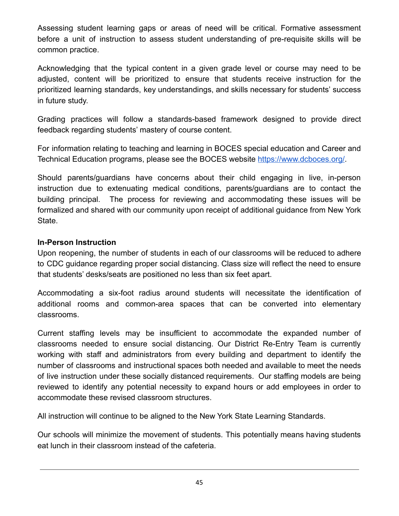Assessing student learning gaps or areas of need will be critical. Formative assessment before a unit of instruction to assess student understanding of pre-requisite skills will be common practice.

Acknowledging that the typical content in a given grade level or course may need to be adjusted, content will be prioritized to ensure that students receive instruction for the prioritized learning standards, key understandings, and skills necessary for students' success in future study.

Grading practices will follow a standards-based framework designed to provide direct feedback regarding students' mastery of course content.

For information relating to teaching and learning in BOCES special education and Career and Technical Education programs, please see the BOCES website <https://www.dcboces.org/>.

Should parents/guardians have concerns about their child engaging in live, in-person instruction due to extenuating medical conditions, parents/guardians are to contact the building principal. The process for reviewing and accommodating these issues will be formalized and shared with our community upon receipt of additional guidance from New York State.

#### **In-Person Instruction**

Upon reopening, the number of students in each of our classrooms will be reduced to adhere to CDC guidance regarding proper social distancing. Class size will reflect the need to ensure that students' desks/seats are positioned no less than six feet apart.

Accommodating a six-foot radius around students will necessitate the identification of additional rooms and common-area spaces that can be converted into elementary classrooms.

Current staffing levels may be insufficient to accommodate the expanded number of classrooms needed to ensure social distancing. Our District Re-Entry Team is currently working with staff and administrators from every building and department to identify the number of classrooms and instructional spaces both needed and available to meet the needs of live instruction under these socially distanced requirements. Our staffing models are being reviewed to identify any potential necessity to expand hours or add employees in order to accommodate these revised classroom structures.

All instruction will continue to be aligned to the New York State Learning Standards.

Our schools will minimize the movement of students. This potentially means having students eat lunch in their classroom instead of the cafeteria.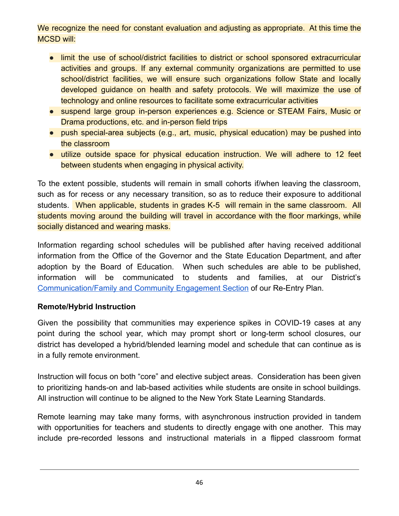We recognize the need for constant evaluation and adjusting as appropriate. At this time the MCSD will:

- limit the use of school/district facilities to district or school sponsored extracurricular activities and groups. If any external community organizations are permitted to use school/district facilities, we will ensure such organizations follow State and locally developed guidance on health and safety protocols. We will maximize the use of technology and online resources to facilitate some extracurricular activities
- suspend large group in-person experiences e.g. Science or STEAM Fairs, Music or Drama productions, etc. and in-person field trips
- push special-area subjects (e.g., art, music, physical education) may be pushed into the classroom
- utilize outside space for physical education instruction. We will adhere to 12 feet between students when engaging in physical activity.

To the extent possible, students will remain in small cohorts if/when leaving the classroom, such as for recess or any necessary transition, so as to reduce their exposure to additional students. When applicable, students in grades K-5 will remain in the same classroom. All students moving around the building will travel in accordance with the floor markings, while socially distanced and wearing masks.

Information regarding school schedules will be published after having received additional information from the Office of the Governor and the State Education Department, and after adoption by the Board of Education. When such schedules are able to be published, information will be communicated to students and families, at our District's [Communication/Family and Community Engagement Section](https://sites.google.com/millbrookcsd.org/covidreentry/home/parent-community-engagement) of our Re-Entry Plan.

#### **Remote/Hybrid Instruction**

Given the possibility that communities may experience spikes in COVID-19 cases at any point during the school year, which may prompt short or long-term school closures, our district has developed a hybrid/blended learning model and schedule that can continue as is in a fully remote environment.

Instruction will focus on both "core" and elective subject areas. Consideration has been given to prioritizing hands-on and lab-based activities while students are onsite in school buildings. All instruction will continue to be aligned to the New York State Learning Standards.

Remote learning may take many forms, with asynchronous instruction provided in tandem with opportunities for teachers and students to directly engage with one another. This may include pre-recorded lessons and instructional materials in a flipped classroom format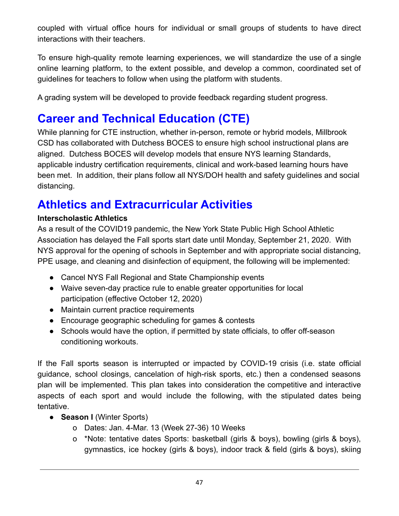coupled with virtual office hours for individual or small groups of students to have direct interactions with their teachers.

To ensure high-quality remote learning experiences, we will standardize the use of a single online learning platform, to the extent possible, and develop a common, coordinated set of guidelines for teachers to follow when using the platform with students.

A grading system will be developed to provide feedback regarding student progress.

# **Career and Technical Education (CTE)**

While planning for CTE instruction, whether in-person, remote or hybrid models, Millbrook CSD has collaborated with Dutchess BOCES to ensure high school instructional plans are aligned. Dutchess BOCES will develop models that ensure NYS learning Standards, applicable industry certification requirements, clinical and work-based learning hours have been met. In addition, their plans follow all NYS/DOH health and safety guidelines and social distancing.

# **Athletics and Extracurricular Activities**

## **Interscholastic Athletics**

As a result of the COVID19 pandemic, the New York State Public High School Athletic Association has delayed the Fall sports start date until Monday, September 21, 2020. With NYS approval for the opening of schools in September and with appropriate social distancing, PPE usage, and cleaning and disinfection of equipment, the following will be implemented:

- Cancel NYS Fall Regional and State Championship events
- Waive seven-day practice rule to enable greater opportunities for local participation (effective October 12, 2020)
- Maintain current practice requirements
- Encourage geographic scheduling for games & contests
- Schools would have the option, if permitted by state officials, to offer off-season conditioning workouts.

If the Fall sports season is interrupted or impacted by COVID-19 crisis (i.e. state official guidance, school closings, cancelation of high-risk sports, etc.) then a condensed seasons plan will be implemented. This plan takes into consideration the competitive and interactive aspects of each sport and would include the following, with the stipulated dates being tentative.

- **Season I** (Winter Sports)
	- o Dates: Jan. 4-Mar. 13 (Week 27-36) 10 Weeks
	- o \*Note: tentative dates Sports: basketball (girls & boys), bowling (girls & boys), gymnastics, ice hockey (girls & boys), indoor track & field (girls & boys), skiing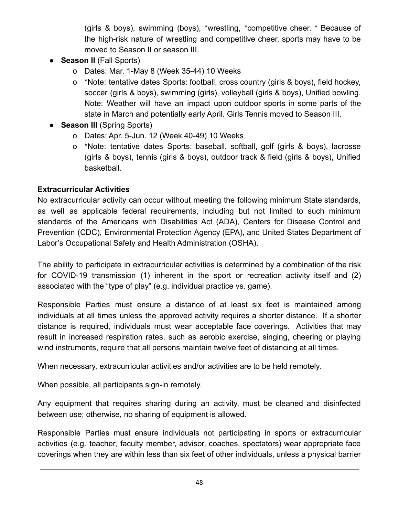(girls & boys), swimming (boys), \*wrestling, \*competitive cheer. \* Because of the high-risk nature of wrestling and competitive cheer, sports may have to be moved to Season II or season III.

- **Season II** (Fall Sports)
	- o Dates: Mar. 1-May 8 (Week 35-44) 10 Weeks
	- o \*Note: tentative dates Sports: football, cross country (girls & boys), field hockey, soccer (girls & boys), swimming (girls), volleyball (girls & boys), Unified bowling. Note: Weather will have an impact upon outdoor sports in some parts of the state in March and potentially early April. Girls Tennis moved to Season III.
- **Season III** (Spring Sports)
	- o Dates: Apr. 5-Jun. 12 (Week 40-49) 10 Weeks
	- o \*Note: tentative dates Sports: baseball, softball, golf (girls & boys), lacrosse (girls & boys), tennis (girls & boys), outdoor track & field (girls & boys), Unified basketball.

#### **Extracurricular Activities**

No extracurricular activity can occur without meeting the following minimum State standards, as well as applicable federal requirements, including but not limited to such minimum standards of the Americans with Disabilities Act (ADA), Centers for Disease Control and Prevention (CDC), Environmental Protection Agency (EPA), and United States Department of Labor's Occupational Safety and Health Administration (OSHA).

The ability to participate in extracurricular activities is determined by a combination of the risk for COVID-19 transmission (1) inherent in the sport or recreation activity itself and (2) associated with the "type of play" (e.g. individual practice vs. game).

Responsible Parties must ensure a distance of at least six feet is maintained among individuals at all times unless the approved activity requires a shorter distance. If a shorter distance is required, individuals must wear acceptable face coverings. Activities that may result in increased respiration rates, such as aerobic exercise, singing, cheering or playing wind instruments, require that all persons maintain twelve feet of distancing at all times.

When necessary, extracurricular activities and/or activities are to be held remotely.

When possible, all participants sign-in remotely.

Any equipment that requires sharing during an activity, must be cleaned and disinfected between use; otherwise, no sharing of equipment is allowed.

Responsible Parties must ensure individuals not participating in sports or extracurricular activities (e.g. teacher, faculty member, advisor, coaches, spectators) wear appropriate face coverings when they are within less than six feet of other individuals, unless a physical barrier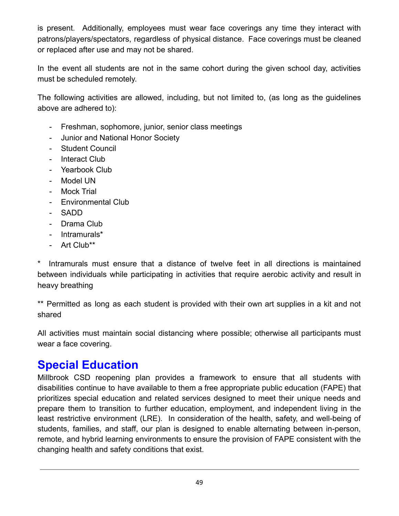is present. Additionally, employees must wear face coverings any time they interact with patrons/players/spectators, regardless of physical distance. Face coverings must be cleaned or replaced after use and may not be shared.

In the event all students are not in the same cohort during the given school day, activities must be scheduled remotely.

The following activities are allowed, including, but not limited to, (as long as the guidelines above are adhered to):

- Freshman, sophomore, junior, senior class meetings
- Junior and National Honor Society
- Student Council
- Interact Club
- Yearbook Club
- Model UN
- Mock Trial
- Environmental Club
- SADD
- Drama Club
- Intramurals\*
- Art Club\*\*

\* Intramurals must ensure that a distance of twelve feet in all directions is maintained between individuals while participating in activities that require aerobic activity and result in heavy breathing

\*\* Permitted as long as each student is provided with their own art supplies in a kit and not shared

All activities must maintain social distancing where possible; otherwise all participants must wear a face covering.

# **Special Education**

Millbrook CSD reopening plan provides a framework to ensure that all students with disabilities continue to have available to them a free appropriate public education (FAPE) that prioritizes special education and related services designed to meet their unique needs and prepare them to transition to further education, employment, and independent living in the least restrictive environment (LRE). In consideration of the health, safety, and well-being of students, families, and staff, our plan is designed to enable alternating between in-person, remote, and hybrid learning environments to ensure the provision of FAPE consistent with the changing health and safety conditions that exist.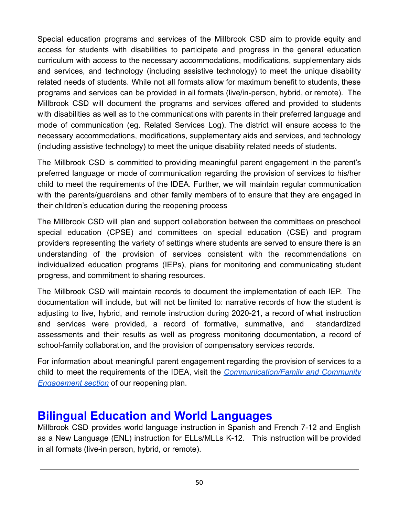Special education programs and services of the Millbrook CSD aim to provide equity and access for students with disabilities to participate and progress in the general education curriculum with access to the necessary accommodations, modifications, supplementary aids and services, and technology (including assistive technology) to meet the unique disability related needs of students. While not all formats allow for maximum benefit to students, these programs and services can be provided in all formats (live/in-person, hybrid, or remote). The Millbrook CSD will document the programs and services offered and provided to students with disabilities as well as to the communications with parents in their preferred language and mode of communication (eg. Related Services Log). The district will ensure access to the necessary accommodations, modifications, supplementary aids and services, and technology (including assistive technology) to meet the unique disability related needs of students.

The Millbrook CSD is committed to providing meaningful parent engagement in the parent's preferred language or mode of communication regarding the provision of services to his/her child to meet the requirements of the IDEA. Further, we will maintain regular communication with the parents/guardians and other family members of to ensure that they are engaged in their children's education during the reopening process

The Millbrook CSD will plan and support collaboration between the committees on preschool special education (CPSE) and committees on special education (CSE) and program providers representing the variety of settings where students are served to ensure there is an understanding of the provision of services consistent with the recommendations on individualized education programs (IEPs), plans for monitoring and communicating student progress, and commitment to sharing resources.

The Millbrook CSD will maintain records to document the implementation of each IEP. The documentation will include, but will not be limited to: narrative records of how the student is adjusting to live, hybrid, and remote instruction during 2020-21, a record of what instruction and services were provided, a record of formative, summative, and standardized assessments and their results as well as progress monitoring documentation, a record of school-family collaboration, and the provision of compensatory services records.

For information about meaningful parent engagement regarding the provision of services to a child to meet the requirements of the IDEA, visit the *[Communication/Family](https://sites.google.com/millbrookcsd.org/covidreentry/home/parent-community-engagement) and Community [Engagement section](https://sites.google.com/millbrookcsd.org/covidreentry/home/parent-community-engagement)* of our reopening plan.

## **Bilingual Education and World Languages**

Millbrook CSD provides world language instruction in Spanish and French 7-12 and English as a New Language (ENL) instruction for ELLs/MLLs K-12. This instruction will be provided in all formats (live-in person, hybrid, or remote).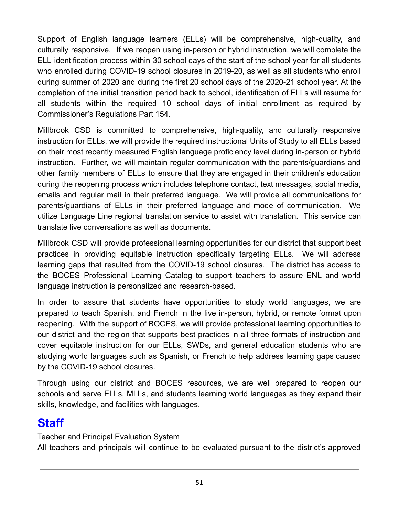Support of English language learners (ELLs) will be comprehensive, high-quality, and culturally responsive. If we reopen using in-person or hybrid instruction, we will complete the ELL identification process within 30 school days of the start of the school year for all students who enrolled during COVID-19 school closures in 2019-20, as well as all students who enroll during summer of 2020 and during the first 20 school days of the 2020-21 school year. At the completion of the initial transition period back to school, identification of ELLs will resume for all students within the required 10 school days of initial enrollment as required by Commissioner's Regulations Part 154.

Millbrook CSD is committed to comprehensive, high-quality, and culturally responsive instruction for ELLs, we will provide the required instructional Units of Study to all ELLs based on their most recently measured English language proficiency level during in-person or hybrid instruction. Further, we will maintain regular communication with the parents/guardians and other family members of ELLs to ensure that they are engaged in their children's education during the reopening process which includes telephone contact, text messages, social media, emails and regular mail in their preferred language. We will provide all communications for parents/guardians of ELLs in their preferred language and mode of communication. We utilize Language Line regional translation service to assist with translation. This service can translate live conversations as well as documents.

Millbrook CSD will provide professional learning opportunities for our district that support best practices in providing equitable instruction specifically targeting ELLs. We will address learning gaps that resulted from the COVID-19 school closures. The district has access to the BOCES Professional Learning Catalog to support teachers to assure ENL and world language instruction is personalized and research-based.

In order to assure that students have opportunities to study world languages, we are prepared to teach Spanish, and French in the live in-person, hybrid, or remote format upon reopening. With the support of BOCES, we will provide professional learning opportunities to our district and the region that supports best practices in all three formats of instruction and cover equitable instruction for our ELLs, SWDs, and general education students who are studying world languages such as Spanish, or French to help address learning gaps caused by the COVID-19 school closures.

Through using our district and BOCES resources, we are well prepared to reopen our schools and serve ELLs, MLLs, and students learning world languages as they expand their skills, knowledge, and facilities with languages.

# **Staff**

Teacher and Principal Evaluation System

All teachers and principals will continue to be evaluated pursuant to the district's approved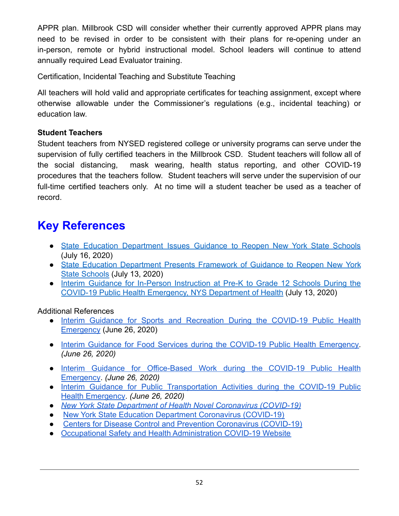APPR plan. Millbrook CSD will consider whether their currently approved APPR plans may need to be revised in order to be consistent with their plans for re-opening under an in-person, remote or hybrid instructional model. School leaders will continue to attend annually required Lead Evaluator training.

Certification, Incidental Teaching and Substitute Teaching

All teachers will hold valid and appropriate certificates for teaching assignment, except where otherwise allowable under the Commissioner's regulations (e.g., incidental teaching) or education law.

#### **Student Teachers**

Student teachers from NYSED registered college or university programs can serve under the supervision of fully certified teachers in the Millbrook CSD. Student teachers will follow all of the social distancing, mask wearing, health status reporting, and other COVID-19 procedures that the teachers follow. Student teachers will serve under the supervision of our full-time certified teachers only. At no time will a student teacher be used as a teacher of record.

# **Key References**

- State Education [Department](http://www.nysed.gov/news/2020/state-education-department-issues-guidance-reopen-new-york-state-schools) Issues Guidance to Reopen New York State Schools (July 16, 2020)
- State Education [Department](http://www.nysed.gov/news/2020/state-education-department-presents-framework-guidance-reopen-new-york-state-schools) Presents Framework of Guidance to Reopen New York [State Schools](http://www.nysed.gov/news/2020/state-education-department-presents-framework-guidance-reopen-new-york-state-schools) (July 13, 2020)
- Interim Guidance for In-Person [Instruction](https://www.governor.ny.gov/sites/governor.ny.gov/files/atoms/files/Pre-K_to_Grade_12_Schools_MasterGuidence.pdf) at Pre-K to Grade 12 Schools During the [COVID-19 Public Health Emergency, NYS Department of Health](https://www.governor.ny.gov/sites/governor.ny.gov/files/atoms/files/Pre-K_to_Grade_12_Schools_MasterGuidence.pdf) (July 13, 2020)

#### Additional References

- Interim Guidance for Sports and [Recreation](https://www.governor.ny.gov/sites/governor.ny.gov/files/atoms/files/SportsAndRecreationMasterGuidance.pdf) During the COVID-19 Public Health [Emergency](https://www.governor.ny.gov/sites/governor.ny.gov/files/atoms/files/SportsAndRecreationMasterGuidance.pdf) (June 26, 2020)
- Interim Guidance for Food Services during the COVID-19 Public Health [Emergency.](https://www.governor.ny.gov/sites/governor.ny.gov/files/atoms/files/Indoor_and_Outdoor_Food_Services_Detailed_Guidelines.pdf) *(June 26, 2020)*
- Interim Guidance for [Office-Based](https://www.governor.ny.gov/sites/governor.ny.gov/files/atoms/files/offices-interim-guidance.pdf) Work during the COVID-19 Public Health [Emergency](https://www.governor.ny.gov/sites/governor.ny.gov/files/atoms/files/offices-interim-guidance.pdf). *(June 26, 2020)*
- Interim Guidance for Public [Transportation](https://www.governor.ny.gov/sites/governor.ny.gov/files/atoms/files/PublicTransportationMasterGuidance.pdf) Activities during the COVID-19 Public [Health Emergency](https://www.governor.ny.gov/sites/governor.ny.gov/files/atoms/files/PublicTransportationMasterGuidance.pdf). *(June 26, 2020)*
- *● [New York State Department of Health Novel Coronavirus \(COVID-19\)](https://coronavirus.health.ny.gov/)*
- [New York State Education Department Coronavirus \(COVID-19\)](http://www.nysed.gov/coronavirus)
- [Centers for Disease Control and Prevention Coronavirus](https://www.cdc.gov/coronavirus/2019-ncov/index.html) (COVID-19)
- [Occupational Safety and Health Administration COVID-19 Website](https://www.osha.gov/SLTC/covid-19/)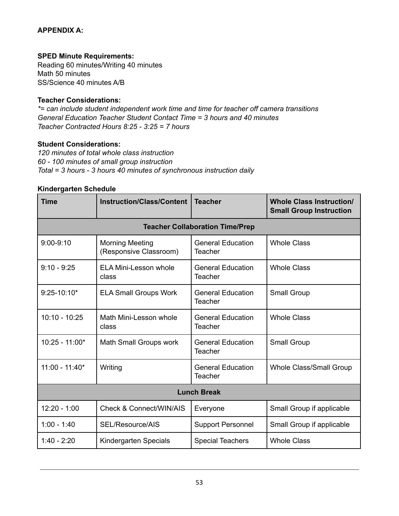#### **APPENDIX A:**

#### **SPED Minute Requirements:**

Reading 60 minutes/Writing 40 minutes Math 50 minutes SS/Science 40 minutes A/B

#### **Teacher Considerations:**

*\*= can include student independent work time and time for teacher off camera transitions General Education Teacher Student Contact Time = 3 hours and 40 minutes Teacher Contracted Hours 8:25 - 3:25 = 7 hours*

#### **Student Considerations:**

*120 minutes of total whole class instruction 60 - 100 minutes of small group instruction Total = 3 hours - 3 hours 40 minutes of synchronous instruction daily*

#### **Kindergarten Schedule**

| <b>Time</b>        | <b>Instruction/Class/Content</b><br><b>Teacher</b>                                      |                                            | <b>Whole Class Instruction/</b><br><b>Small Group Instruction</b> |  |
|--------------------|-----------------------------------------------------------------------------------------|--------------------------------------------|-------------------------------------------------------------------|--|
|                    |                                                                                         | <b>Teacher Collaboration Time/Prep</b>     |                                                                   |  |
| $9:00-9:10$        | <b>General Education</b><br><b>Morning Meeting</b><br>(Responsive Classroom)<br>Teacher |                                            | <b>Whole Class</b>                                                |  |
| $9:10 - 9:25$      | <b>ELA Mini-Lesson whole</b><br>class                                                   | <b>General Education</b><br>Teacher        | <b>Whole Class</b>                                                |  |
| $9:25 - 10:10*$    | <b>ELA Small Groups Work</b>                                                            | <b>General Education</b><br><b>Teacher</b> | <b>Small Group</b>                                                |  |
| $10:10 - 10:25$    | Math Mini-Lesson whole<br>class                                                         | <b>General Education</b><br>Teacher        | <b>Whole Class</b>                                                |  |
| $10:25 - 11:00*$   | Math Small Groups work                                                                  | <b>General Education</b><br>Teacher        | <b>Small Group</b>                                                |  |
| $11:00 - 11:40*$   | Writing<br><b>General Education</b><br>Teacher                                          |                                            | <b>Whole Class/Small Group</b>                                    |  |
| <b>Lunch Break</b> |                                                                                         |                                            |                                                                   |  |
| $12:20 - 1:00$     | <b>Check &amp; Connect/WIN/AIS</b>                                                      | Everyone                                   | Small Group if applicable                                         |  |
| $1:00 - 1:40$      | SEL/Resource/AIS                                                                        | <b>Support Personnel</b>                   | Small Group if applicable                                         |  |
| $1:40 - 2:20$      | Kindergarten Specials                                                                   | <b>Special Teachers</b>                    | <b>Whole Class</b>                                                |  |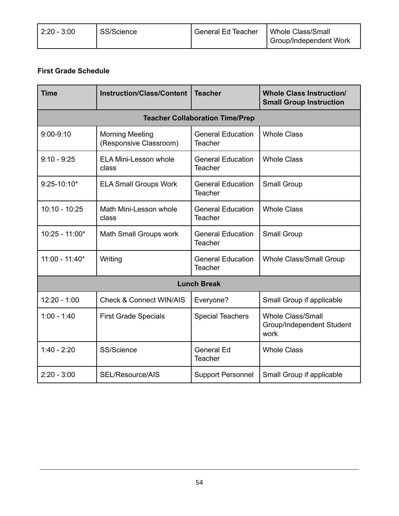| $ 2:20 - 3:00 $ | <sup>1</sup> SS/Science | General Ed Teacher | Whole Class/Small             |
|-----------------|-------------------------|--------------------|-------------------------------|
|                 |                         |                    | <b>Group/Independent Work</b> |

#### **First Grade Schedule**

| <b>Time</b>      | <b>Instruction/Class/Content</b><br><b>Teacher</b> |                                                                  | <b>Whole Class Instruction/</b><br><b>Small Group Instruction</b> |  |  |
|------------------|----------------------------------------------------|------------------------------------------------------------------|-------------------------------------------------------------------|--|--|
|                  |                                                    | <b>Teacher Collaboration Time/Prep</b>                           |                                                                   |  |  |
| $9:00 - 9:10$    | <b>Morning Meeting</b><br>(Responsive Classroom)   | <b>General Education</b><br><b>Whole Class</b><br>Teacher        |                                                                   |  |  |
| $9:10 - 9:25$    | <b>ELA Mini-Lesson whole</b><br>class              | <b>General Education</b><br><b>Whole Class</b><br><b>Teacher</b> |                                                                   |  |  |
| $9:25 - 10:10*$  | <b>ELA Small Groups Work</b>                       | Small Group<br><b>General Education</b><br><b>Teacher</b>        |                                                                   |  |  |
| $10:10 - 10:25$  | Math Mini-Lesson whole<br>class                    | <b>Whole Class</b><br><b>General Education</b><br><b>Teacher</b> |                                                                   |  |  |
| $10:25 - 11:00*$ | Math Small Groups work                             | <b>General Education</b><br><b>Teacher</b>                       | <b>Small Group</b>                                                |  |  |
| $11:00 - 11:40*$ | Writing                                            | <b>General Education</b><br><b>Teacher</b>                       | Whole Class/Small Group                                           |  |  |
|                  |                                                    | <b>Lunch Break</b>                                               |                                                                   |  |  |
| $12:20 - 1:00$   | <b>Check &amp; Connect WIN/AIS</b>                 | Everyone?                                                        | Small Group if applicable                                         |  |  |
| $1:00 - 1:40$    | <b>First Grade Specials</b>                        | <b>Special Teachers</b>                                          | <b>Whole Class/Small</b><br>Group/Independent Student<br>work     |  |  |
| $1:40 - 2:20$    | SS/Science                                         | <b>General Ed</b><br><b>Teacher</b>                              | <b>Whole Class</b>                                                |  |  |
| $2:20 - 3:00$    | SEL/Resource/AIS                                   | <b>Support Personnel</b>                                         | Small Group if applicable                                         |  |  |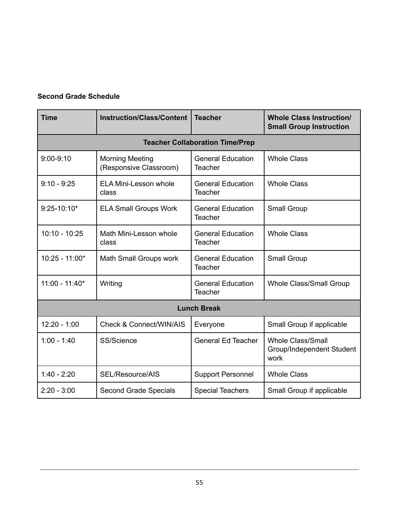#### **Second Grade Schedule**

| <b>Time</b>      | <b>Instruction/Class/Content</b><br><b>Teacher</b>                         |                                                      | <b>Whole Class Instruction/</b><br><b>Small Group Instruction</b> |  |
|------------------|----------------------------------------------------------------------------|------------------------------------------------------|-------------------------------------------------------------------|--|
|                  |                                                                            | <b>Teacher Collaboration Time/Prep</b>               |                                                                   |  |
| $9:00 - 9:10$    | <b>Morning Meeting</b><br>(Responsive Classroom)                           | <b>General Education</b><br><b>Teacher</b>           | <b>Whole Class</b>                                                |  |
| $9:10 - 9:25$    | <b>ELA Mini-Lesson whole</b><br>class                                      | <b>General Education</b><br>Teacher                  | <b>Whole Class</b>                                                |  |
| $9:25 - 10:10*$  | <b>ELA Small Groups Work</b><br><b>General Education</b><br><b>Teacher</b> |                                                      | Small Group                                                       |  |
| $10:10 - 10:25$  | Math Mini-Lesson whole<br>class                                            | <b>General Education</b><br><b>Teacher</b>           | <b>Whole Class</b>                                                |  |
| $10:25 - 11:00*$ | Math Small Groups work                                                     | <b>General Education</b><br><b>Teacher</b>           | Small Group                                                       |  |
| $11:00 - 11:40*$ | Writing                                                                    | <b>General Education</b><br><b>Teacher</b>           | <b>Whole Class/Small Group</b>                                    |  |
|                  |                                                                            | <b>Lunch Break</b>                                   |                                                                   |  |
| $12:20 - 1:00$   | <b>Check &amp; Connect/WIN/AIS</b><br>Everyone                             |                                                      | Small Group if applicable                                         |  |
| $1:00 - 1:40$    | SS/Science                                                                 | <b>General Ed Teacher</b>                            | <b>Whole Class/Small</b><br>Group/Independent Student<br>work     |  |
| $1:40 - 2:20$    | SEL/Resource/AIS                                                           | <b>Support Personnel</b>                             | <b>Whole Class</b>                                                |  |
| $2:20 - 3:00$    | Second Grade Specials                                                      | <b>Special Teachers</b><br>Small Group if applicable |                                                                   |  |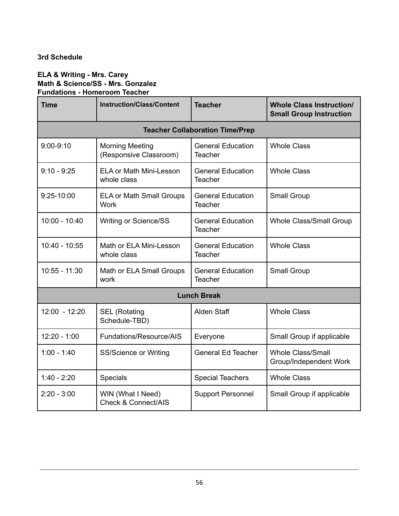#### **3rd Schedule**

#### **ELA & Writing - Mrs. Carey Math & Science/SS - Mrs. Gonzalez Fundations - Homeroom Teacher**

| <b>Time</b>                                                                    | <b>Instruction/Class/Content</b><br><b>Teacher</b>  |                                            | <b>Whole Class Instruction/</b><br><b>Small Group Instruction</b> |
|--------------------------------------------------------------------------------|-----------------------------------------------------|--------------------------------------------|-------------------------------------------------------------------|
|                                                                                |                                                     | <b>Teacher Collaboration Time/Prep</b>     |                                                                   |
| $9:00-9:10$                                                                    | <b>Morning Meeting</b><br>(Responsive Classroom)    | <b>General Education</b><br><b>Teacher</b> | <b>Whole Class</b>                                                |
| $9:10 - 9:25$                                                                  | <b>ELA or Math Mini-Lesson</b><br>whole class       | <b>General Education</b><br><b>Teacher</b> | <b>Whole Class</b>                                                |
| 9:25-10:00                                                                     | <b>ELA or Math Small Groups</b><br><b>Work</b>      | <b>General Education</b><br><b>Teacher</b> | Small Group                                                       |
| $10:00 - 10:40$                                                                | <b>Writing or Science/SS</b>                        | <b>General Education</b><br><b>Teacher</b> | <b>Whole Class/Small Group</b>                                    |
| $10:40 - 10:55$                                                                | Math or ELA Mini-Lesson<br>whole class              | <b>General Education</b><br><b>Teacher</b> | <b>Whole Class</b>                                                |
| $10:55 - 11:30$                                                                | Math or ELA Small Groups<br>work                    | <b>General Education</b><br><b>Teacher</b> | Small Group                                                       |
|                                                                                |                                                     | <b>Lunch Break</b>                         |                                                                   |
| $12:00 - 12:20$<br><b>Alden Staff</b><br><b>SEL (Rotating</b><br>Schedule-TBD) |                                                     |                                            | <b>Whole Class</b>                                                |
| $12:20 - 1:00$                                                                 | Fundations/Resource/AIS                             | Everyone                                   | Small Group if applicable                                         |
| $1:00 - 1:40$                                                                  | SS/Science or Writing                               | <b>General Ed Teacher</b>                  | <b>Whole Class/Small</b><br>Group/Independent Work                |
| $1:40 - 2:20$                                                                  | <b>Specials</b>                                     | <b>Special Teachers</b>                    | <b>Whole Class</b>                                                |
| $2:20 - 3:00$                                                                  | WIN (What I Need)<br><b>Check &amp; Connect/AIS</b> | <b>Support Personnel</b>                   | Small Group if applicable                                         |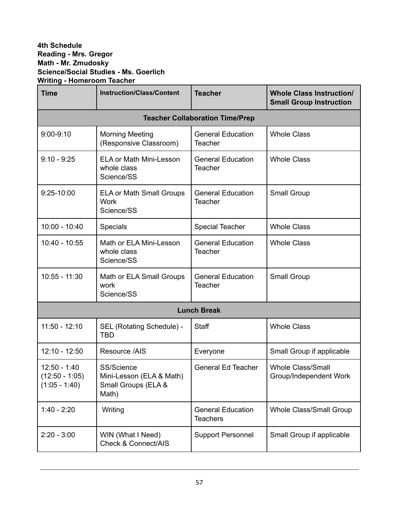#### **4th Schedule Reading - Mrs. Gregor Math - Mr. Zmudosky Science/Social Studies - Ms. Goerlich Writing - Homeroom Teacher**

| <b>Time</b>                                           | <b>Instruction/Class/Content</b><br><b>Teacher</b>                     |                                                           | <b>Whole Class Instruction/</b><br><b>Small Group Instruction</b> |  |
|-------------------------------------------------------|------------------------------------------------------------------------|-----------------------------------------------------------|-------------------------------------------------------------------|--|
|                                                       |                                                                        | <b>Teacher Collaboration Time/Prep</b>                    |                                                                   |  |
| $9:00-9:10$                                           | <b>Morning Meeting</b><br>(Responsive Classroom)                       | <b>General Education</b><br><b>Teacher</b>                | <b>Whole Class</b>                                                |  |
| $9:10 - 9:25$                                         | <b>ELA or Math Mini-Lesson</b><br>whole class<br>Science/SS            | <b>Whole Class</b><br><b>General Education</b><br>Teacher |                                                                   |  |
| 9:25-10:00                                            | <b>ELA or Math Small Groups</b><br><b>Work</b><br>Science/SS           | <b>General Education</b><br>Small Group<br><b>Teacher</b> |                                                                   |  |
| $10:00 - 10:40$                                       | <b>Specials</b>                                                        | <b>Special Teacher</b>                                    | <b>Whole Class</b>                                                |  |
| 10:40 - 10:55                                         | Math or ELA Mini-Lesson<br>whole class<br>Science/SS                   | <b>General Education</b><br><b>Teacher</b>                | <b>Whole Class</b>                                                |  |
| $10:55 - 11:30$                                       | Math or ELA Small Groups<br>work<br>Science/SS                         | <b>General Education</b><br>Teacher                       | Small Group                                                       |  |
|                                                       |                                                                        | <b>Lunch Break</b>                                        |                                                                   |  |
| 11:50 - 12:10                                         | SEL (Rotating Schedule) -<br><b>TBD</b>                                | Staff                                                     | <b>Whole Class</b>                                                |  |
| $12:10 - 12:50$                                       | Resource /AIS                                                          | Everyone                                                  | Small Group if applicable                                         |  |
| $12:50 - 1:40$<br>$(12:50 - 1:05)$<br>$(1:05 - 1:40)$ | SS/Science<br>Mini-Lesson (ELA & Math)<br>Small Groups (ELA &<br>Math) | <b>General Ed Teacher</b>                                 | <b>Whole Class/Small</b><br>Group/Independent Work                |  |
| $1:40 - 2:20$                                         | Writing                                                                | <b>General Education</b><br><b>Teachers</b>               | Whole Class/Small Group                                           |  |
| $2:20 - 3:00$                                         | WIN (What I Need)<br><b>Check &amp; Connect/AIS</b>                    | <b>Support Personnel</b>                                  | Small Group if applicable                                         |  |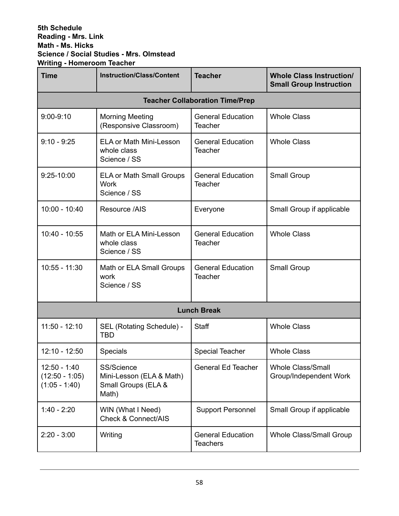#### **5th Schedule Reading - Mrs. Link Math - Ms. Hicks Science / Social Studies - Mrs. Olmstead Writing - Homeroom Teacher**

| <b>Time</b>                                                | <b>Instruction/Class/Content</b><br><b>Teacher</b>                     |                                                                  | <b>Whole Class Instruction/</b><br><b>Small Group Instruction</b> |
|------------------------------------------------------------|------------------------------------------------------------------------|------------------------------------------------------------------|-------------------------------------------------------------------|
|                                                            |                                                                        | <b>Teacher Collaboration Time/Prep</b>                           |                                                                   |
| $9:00-9:10$                                                | <b>Morning Meeting</b><br>(Responsive Classroom)                       | <b>General Education</b><br><b>Teacher</b>                       | <b>Whole Class</b>                                                |
| $9:10 - 9:25$                                              | <b>ELA or Math Mini-Lesson</b><br>whole class<br>Science / SS          | <b>Whole Class</b><br><b>General Education</b><br><b>Teacher</b> |                                                                   |
| 9:25-10:00                                                 | <b>ELA or Math Small Groups</b><br><b>Work</b><br>Science / SS         | <b>General Education</b><br><b>Teacher</b>                       | Small Group                                                       |
| $10:00 - 10:40$                                            | Resource /AIS                                                          | Everyone                                                         | Small Group if applicable                                         |
| $10:40 - 10:55$                                            | Math or ELA Mini-Lesson<br>whole class<br>Science / SS                 | <b>General Education</b><br><b>Teacher</b>                       | <b>Whole Class</b>                                                |
| $10:55 - 11:30$                                            | Math or ELA Small Groups<br>work<br>Science / SS                       | <b>General Education</b><br><b>Teacher</b>                       |                                                                   |
|                                                            |                                                                        | <b>Lunch Break</b>                                               |                                                                   |
| $11:50 - 12:10$<br>SEL (Rotating Schedule) -<br><b>TBD</b> |                                                                        | <b>Staff</b>                                                     | <b>Whole Class</b>                                                |
| $12:10 - 12:50$                                            | <b>Specials</b>                                                        | <b>Special Teacher</b>                                           | <b>Whole Class</b>                                                |
| $12:50 - 1:40$<br>$(12:50 - 1:05)$<br>$(1:05 - 1:40)$      | SS/Science<br>Mini-Lesson (ELA & Math)<br>Small Groups (ELA &<br>Math) | <b>General Ed Teacher</b>                                        | <b>Whole Class/Small</b><br>Group/Independent Work                |
| $1:40 - 2:20$                                              | WIN (What I Need)<br><b>Check &amp; Connect/AIS</b>                    | <b>Support Personnel</b>                                         | Small Group if applicable                                         |
| $2:20 - 3:00$                                              | Writing                                                                | <b>General Education</b><br><b>Teachers</b>                      | Whole Class/Small Group                                           |